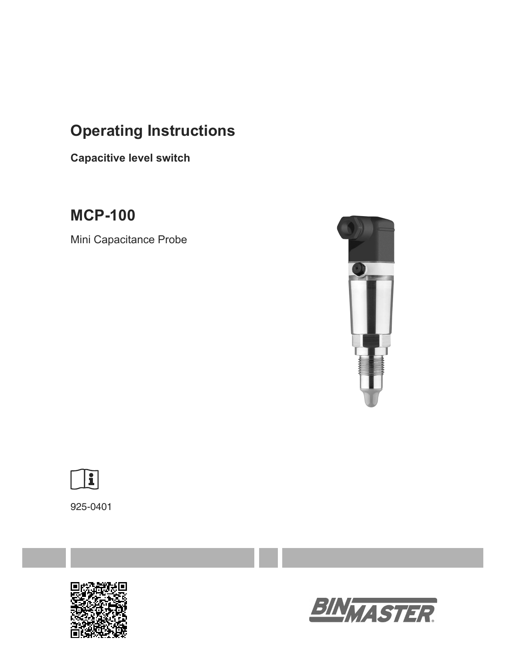# **Operating Instructions**

**Capacitive level switch**

**MCP-100** 

Mini Capacitance Probe





925-0401



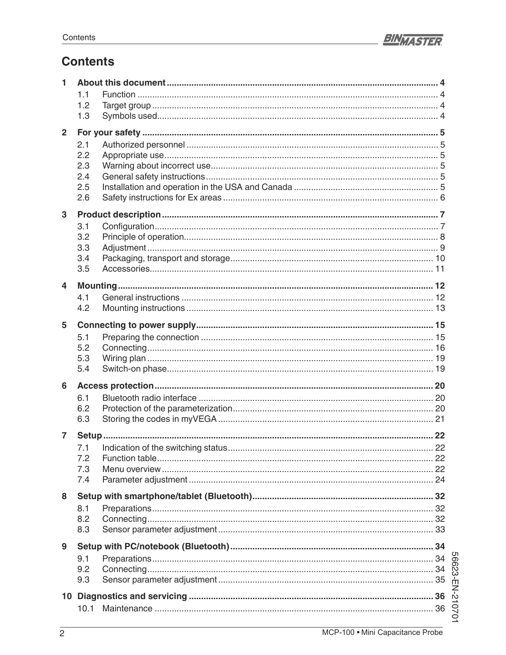

# **Contents**

| 1              |     |  |  |
|----------------|-----|--|--|
|                | 1.1 |  |  |
|                | 1.2 |  |  |
|                | 1.3 |  |  |
| $\overline{2}$ |     |  |  |
|                |     |  |  |
|                | 2.1 |  |  |
|                | 2.2 |  |  |
|                | 2.3 |  |  |
|                | 2.4 |  |  |
|                | 2.5 |  |  |
|                | 2.6 |  |  |
| $\mathbf{3}$   |     |  |  |
|                | 3.1 |  |  |
|                | 3.2 |  |  |
|                | 3.3 |  |  |
|                | 3.4 |  |  |
|                | 3.5 |  |  |
|                |     |  |  |
| 4              |     |  |  |
|                | 4.1 |  |  |
|                | 4.2 |  |  |
|                |     |  |  |
| 5              |     |  |  |
|                | 5.1 |  |  |
|                | 5.2 |  |  |
|                | 5.3 |  |  |
|                | 5.4 |  |  |
| 6              |     |  |  |
|                | 6.1 |  |  |
|                | 6.2 |  |  |
|                | 6.3 |  |  |
|                |     |  |  |
| $\overline{7}$ |     |  |  |
|                |     |  |  |
|                | 7.2 |  |  |
|                | 7.3 |  |  |
|                | 7.4 |  |  |
| 8              |     |  |  |
|                |     |  |  |
|                | 8.1 |  |  |
|                | 8.2 |  |  |
|                | 8.3 |  |  |
| 9              |     |  |  |
|                |     |  |  |
|                |     |  |  |
|                |     |  |  |
|                |     |  |  |
|                |     |  |  |
|                |     |  |  |
|                |     |  |  |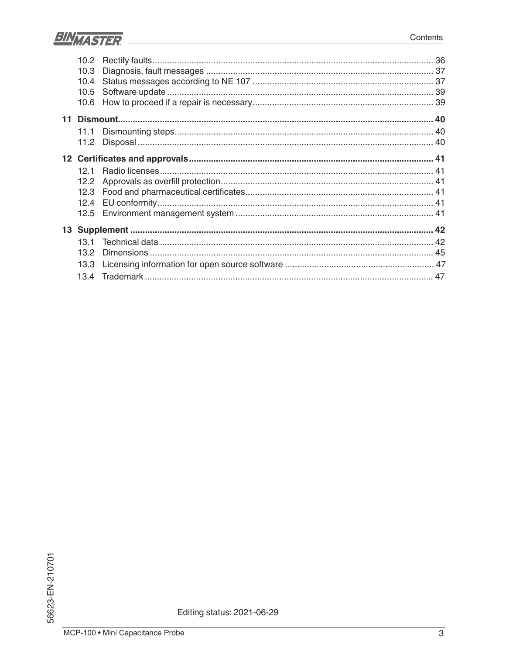

| 10.2 |  |
|------|--|
| 10.3 |  |
| 10.4 |  |
| 10.5 |  |
| 10.6 |  |
|      |  |
| 11.1 |  |
| 11.2 |  |
|      |  |
| 121  |  |
| 12.2 |  |
| 12.3 |  |
| 12.4 |  |
| 12.5 |  |
|      |  |
| 13.1 |  |
| 13.2 |  |
| 13.3 |  |
|      |  |
| 13.4 |  |

Editing status: 2021-06-29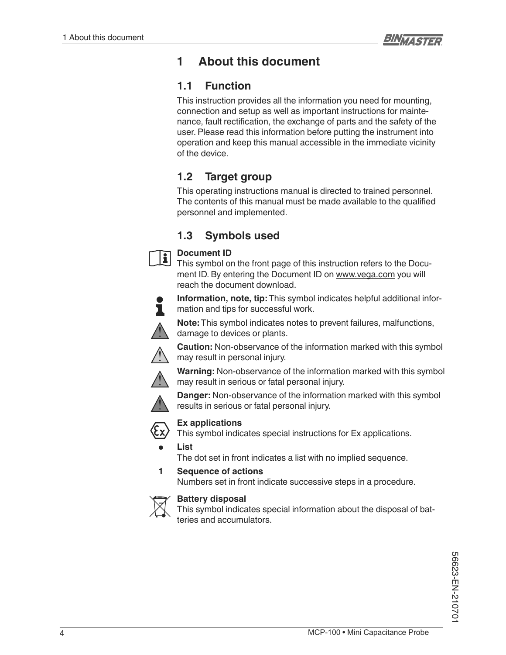# **1 About this document**

### **1.1 Function**

This instruction provides all the information you need for mounting, connection and setup as well as important instructions for maintenance, fault rectification, the exchange of parts and the safety of the user. Please read this information before putting the instrument into operation and keep this manual accessible in the immediate vicinity of the device.

# **1.2 Target group**

This operating instructions manual is directed to trained personnel. The contents of this manual must be made available to the qualified personnel and implemented.

# **1.3 Symbols used**



This symbol on the front page of this instruction refers to the Document ID. By entering the Document ID on www.vega.com you will reach the document download.



 $\mathbf{i}$ 

**Information, note, tip:** This symbol indicates helpful additional information and tips for successful work.

**Note:** This symbol indicates notes to prevent failures, malfunctions, damage to devices or plants.



**Caution:** Non-observance of the information marked with this symbol may result in personal injury.

**Warning:** Non-observance of the information marked with this symbol may result in serious or fatal personal injury.



**Danger:** Non-observance of the information marked with this symbol





**Ex applications**

This symbol indicates special instructions for Ex applications.

**• List**

The dot set in front indicates a list with no implied sequence.

**1 Sequence of actions**

Numbers set in front indicate successive steps in a procedure.



### **Battery disposal**

This symbol indicates special information about the disposal of batteries and accumulators.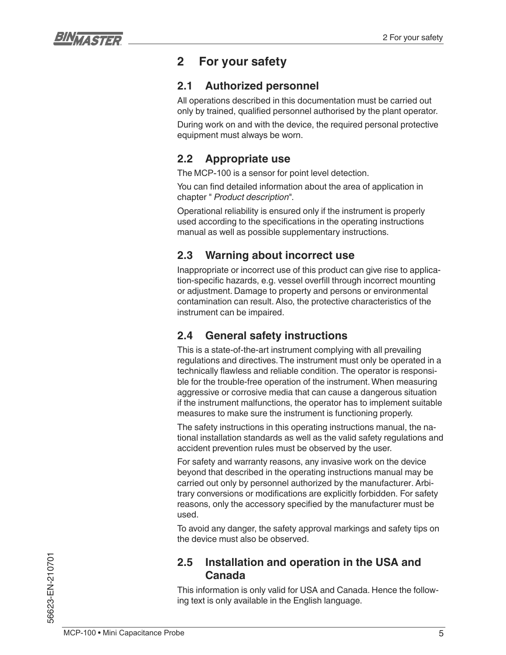

# **2 For your safety**

### **2.1 Authorized personnel**

All operations described in this documentation must be carried out only by trained, qualified personnel authorised by the plant operator.

During work on and with the device, the required personal protective equipment must always be worn.

# **2.2 Appropriate use**

The MCP-100 is a sensor for point level detection.

You can find detailed information about the area of application in chapter " *Product description*".

Operational reliability is ensured only if the instrument is properly used according to the specifications in the operating instructions manual as well as possible supplementary instructions.

# **2.3 Warning about incorrect use**

Inappropriate or incorrect use of this product can give rise to application-specific hazards, e.g. vessel overfill through incorrect mounting or adjustment. Damage to property and persons or environmental contamination can result. Also, the protective characteristics of the instrument can be impaired.

# **2.4 General safety instructions**

This is a state-of-the-art instrument complying with all prevailing regulations and directives. The instrument must only be operated in a technically flawless and reliable condition. The operator is responsible for the trouble-free operation of the instrument. When measuring aggressive or corrosive media that can cause a dangerous situation if the instrument malfunctions, the operator has to implement suitable measures to make sure the instrument is functioning properly.

The safety instructions in this operating instructions manual, the national installation standards as well as the valid safety regulations and accident prevention rules must be observed by the user.

For safety and warranty reasons, any invasive work on the device beyond that described in the operating instructions manual may be carried out only by personnel authorized by the manufacturer. Arbitrary conversions or modifications are explicitly forbidden. For safety reasons, only the accessory specified by the manufacturer must be used.

To avoid any danger, the safety approval markings and safety tips on the device must also be observed.

### **2.5 Installation and operation in the USA and Canada**

This information is only valid for USA and Canada. Hence the following text is only available in the English language.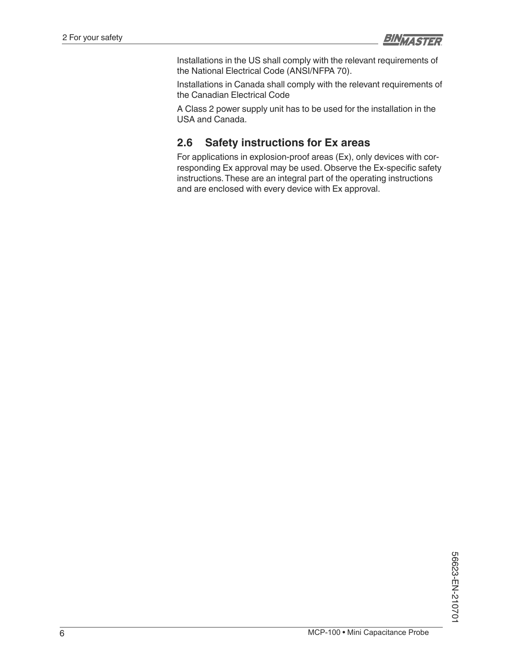

Installations in the US shall comply with the relevant requirements of the National Electrical Code (ANSI/NFPA 70).

Installations in Canada shall comply with the relevant requirements of the Canadian Electrical Code

A Class 2 power supply unit has to be used for the installation in the USA and Canada.

### **2.6 Safety instructions for Ex areas**

For applications in explosion-proof areas (Ex), only devices with corresponding Ex approval may be used. Observe the Ex-specific safety instructions. These are an integral part of the operating instructions and are enclosed with every device with Ex approval.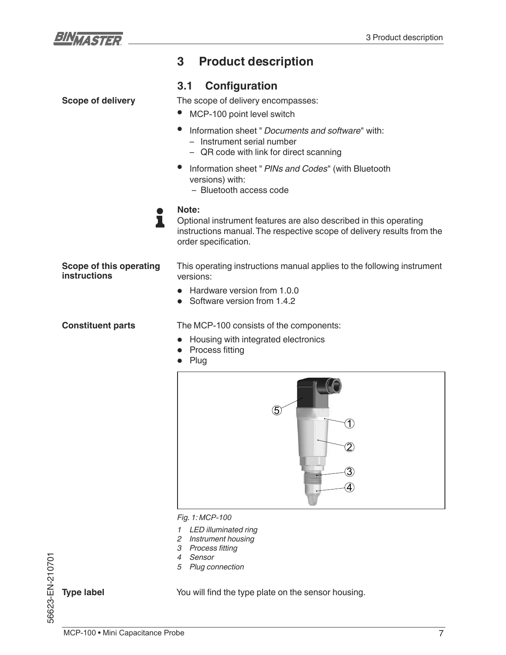

**Scope of delivery**

# **3 Product description**

### **3.1 Configuration**

The scope of delivery encompasses:

- MCP-100 point level switch
- Information sheet " *Documents and software*" with:
	- Instrument serial number
	- QR code with link for direct scanning
- Information sheet " *PINs and Codes*" (with Bluetooth versions) with:
	- Bluetooth access code
- **Note:** 1

Optional instrument features are also described in this operating instructions manual. The respective scope of delivery results from the order specification.

**Scope of this operating instructions**

This operating instructions manual applies to the following instrument versions:

- Hardware version from 1.0.0
- Software version from 1.4.2

**Constituent parts**

The MCP-100 consists of the components:

- Housing with integrated electronics
- Process fitting
- Plug



*Fig. 1: MCP-100* 

- *1 LED illuminated ring*
- *2 Instrument housing*
- 3 Process fitting
- *4 Sensor*
- *5 Plug connection*

**Type label**

56623-EN-210701

56623-EN-210701

You will find the type plate on the sensor housing.

MCP-100 • Mini Capacitance Probe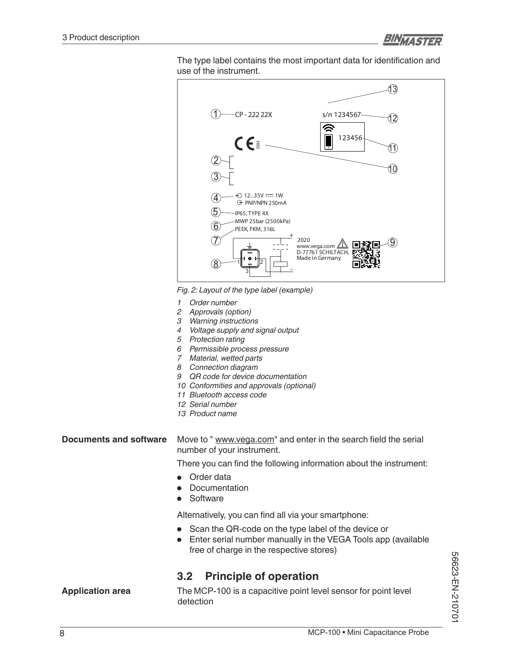

The type label contains the most important data for identification and use of the instrument.



*Fig. 2: Layout of the type label (example)*

- *1 Order number*
- *2 Approvals (option)*
- *3 Warning instructions*
- *4 Voltage supply and signal output*
- *5 Protection rating*
- *6 Permissible process pressure*
- *7 Material, wetted parts*
- *8 Connection diagram*
- *9 QR code for device documentation*
- *10 Conformities and approvals (optional)*
- *11 Bluetooth access code*
- *12 Serial number*
- *13 Product name*

Move to " www.vega.com" and enter in the search field the serial number of your instrument. **Documents and software**

There you can find the following information about the instrument:

- Order data
- Documentation
- **Software**

Alternatively, you can find all via your smartphone:

- Scan the QR-code on the type label of the device or
- Enter serial number manually in the VEGA Tools app (available free of charge in the respective stores)

### **3.2 Principle of operation**

**Application area**

The MCP-100 is a capacitive point level sensor for point level detection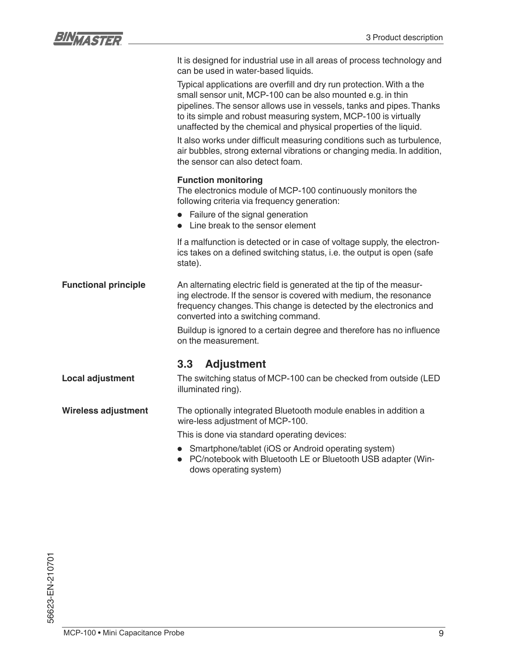

- Smartphone/tablet (iOS or Android operating system)
- PC/notebook with Bluetooth LE or Bluetooth USB adapter (Windows operating system)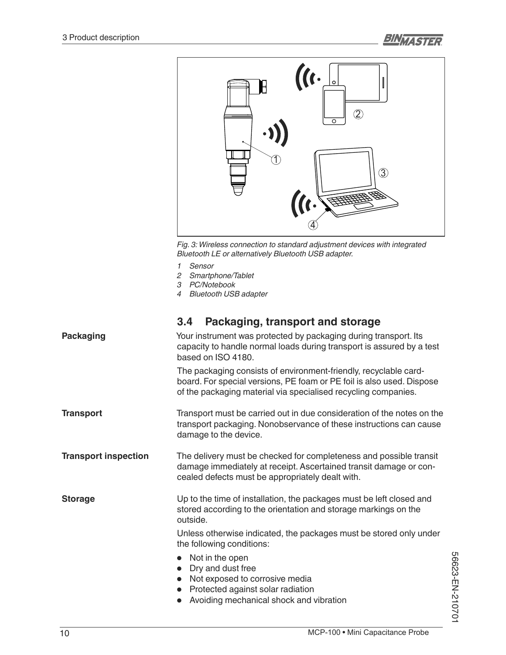

*Fig. 3: Wireless connection to standard adjustment devices with integrated Bluetooth LE or alternatively Bluetooth USB adapter.*

- *1 Sensor*
- *2 Smartphone/Tablet*
- *3 PC/Notebook*
- *4 Bluetooth USB adapter*

| 3.4 | <b>Packaging, transport and storage</b> |  |  |  |
|-----|-----------------------------------------|--|--|--|
|-----|-----------------------------------------|--|--|--|

| <b>Packaging</b>            | Your instrument was protected by packaging during transport. Its<br>capacity to handle normal loads during transport is assured by a test<br>based on ISO 4180.                                             |  |
|-----------------------------|-------------------------------------------------------------------------------------------------------------------------------------------------------------------------------------------------------------|--|
|                             | The packaging consists of environment-friendly, recyclable card-<br>board. For special versions, PE foam or PE foil is also used. Dispose<br>of the packaging material via specialised recycling companies. |  |
| <b>Transport</b>            | Transport must be carried out in due consideration of the notes on the<br>transport packaging. Nonobservance of these instructions can cause<br>damage to the device.                                       |  |
| <b>Transport inspection</b> | The delivery must be checked for completeness and possible transit<br>damage immediately at receipt. Ascertained transit damage or con-<br>cealed defects must be appropriately dealt with.                 |  |
| <b>Storage</b>              | Up to the time of installation, the packages must be left closed and<br>stored according to the orientation and storage markings on the<br>outside.                                                         |  |
|                             | Unless otherwise indicated, the packages must be stored only under<br>the following conditions:                                                                                                             |  |
|                             | • Not in the open<br>Dry and dust free<br>$\bullet$<br>• Not exposed to corrosive media<br>• Protected against solar radiation<br>Avoiding mechanical shock and vibration                                   |  |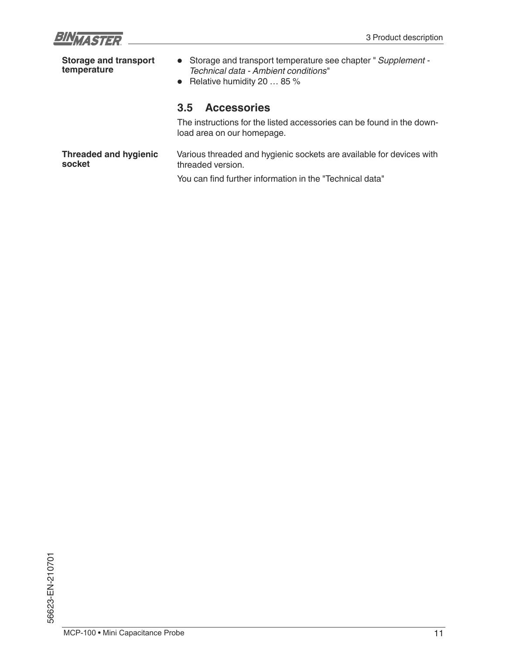

| <b>Storage and transport</b><br>temperature | • Storage and transport temperature see chapter " Supplement -<br>Technical data - Ambient conditions"<br>• Relative humidity 20 $\dots$ 85 % |
|---------------------------------------------|-----------------------------------------------------------------------------------------------------------------------------------------------|
|                                             | <b>Accessories</b><br>$3.5^{\circ}$<br>The instructions for the listed accessories can be found in the down-                                  |
|                                             | load area on our homepage.                                                                                                                    |
| <b>Threaded and hygienic</b><br>socket      | Various threaded and hygienic sockets are available for devices with<br>threaded version.                                                     |
|                                             | You can find further information in the "Technical data"                                                                                      |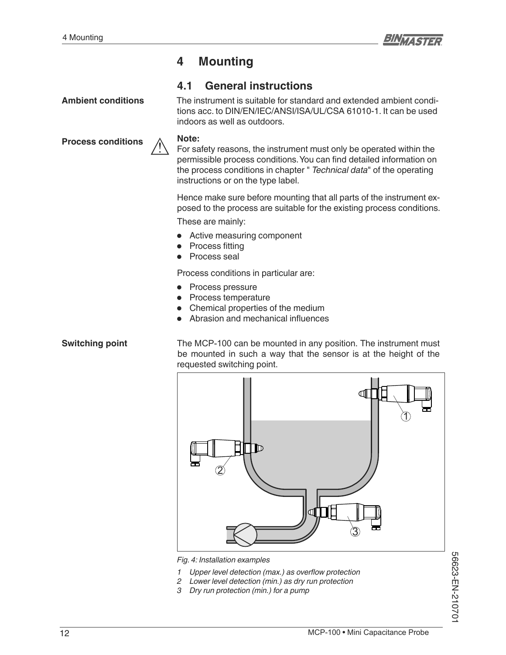

# **4 Mounting**

### **4.1 General instructions**

**Ambient conditions**

**Process conditions**

The instrument is suitable for standard and extended ambient conditions acc. to DIN/EN/IEC/ANSI/ISA/UL/CSA 61010-1. It can be used indoors as well as outdoors.

#### **Note:**

For safety reasons, the instrument must only be operated within the permissible process conditions. You can find detailed information on the process conditions in chapter " *Technical data*" of the operating instructions or on the type label.

Hence make sure before mounting that all parts of the instrument exposed to the process are suitable for the existing process conditions.

These are mainly:

- Active measuring component
- Process fitting
- Process seal

Process conditions in particular are:

- Process pressure
- Process temperature
- Chemical properties of the medium
- Abrasion and mechanical influences

#### **Switching point**

The MCP-100 can be mounted in any position. The instrument must be mounted in such a way that the sensor is at the height of the requested switching point.



*Fig. 4: Installation examples*

- *<sup>1</sup> Upper level detection (max.) as overflow protection*
- *2 Lower level detection (min.) as dry run protection*
- *3 Dry run protection (min.) for a pump*

56623-EN-210701 56623-EN-210701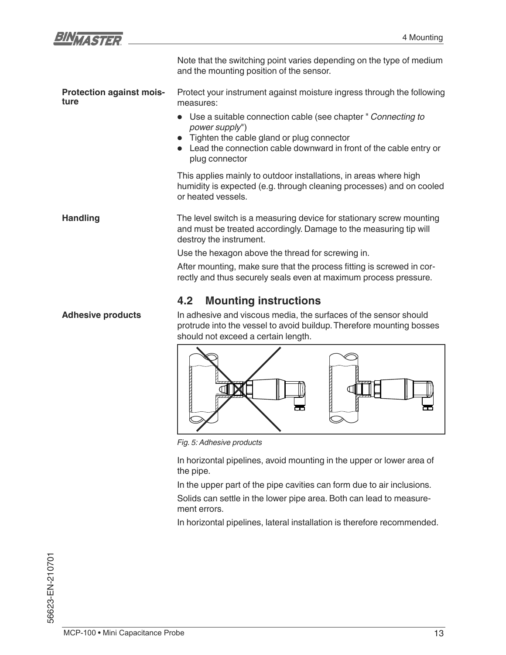

| <b>Adhesive products</b>                | <b>Mounting instructions</b><br>4.2<br>In adhesive and viscous media, the surfaces of the sensor should                                                                                                                  |
|-----------------------------------------|--------------------------------------------------------------------------------------------------------------------------------------------------------------------------------------------------------------------------|
|                                         | After mounting, make sure that the process fitting is screwed in cor-<br>rectly and thus securely seals even at maximum process pressure.                                                                                |
|                                         | Use the hexagon above the thread for screwing in.                                                                                                                                                                        |
| <b>Handling</b>                         | The level switch is a measuring device for stationary screw mounting<br>and must be treated accordingly. Damage to the measuring tip will<br>destroy the instrument.                                                     |
|                                         | This applies mainly to outdoor installations, in areas where high<br>humidity is expected (e.g. through cleaning processes) and on cooled<br>or heated vessels.                                                          |
|                                         | • Use a suitable connection cable (see chapter " Connecting to<br>power supply")<br>• Tighten the cable gland or plug connector<br>• Lead the connection cable downward in front of the cable entry or<br>plug connector |
| <b>Protection against mois-</b><br>ture | Protect your instrument against moisture ingress through the following<br>measures:                                                                                                                                      |
|                                         | Note that the switching point varies depending on the type of medium<br>and the mounting position of the sensor.                                                                                                         |

In adhesive and viscous media, the surfaces of the sensor should protrude into the vessel to avoid buildup. Therefore mounting bosses should not exceed a certain length.



*Fig. 5: Adhesive products*

In horizontal pipelines, avoid mounting in the upper or lower area of the pipe.

In the upper part of the pipe cavities can form due to air inclusions.

Solids can settle in the lower pipe area. Both can lead to measurement errors.

In horizontal pipelines, lateral installation is therefore recommended.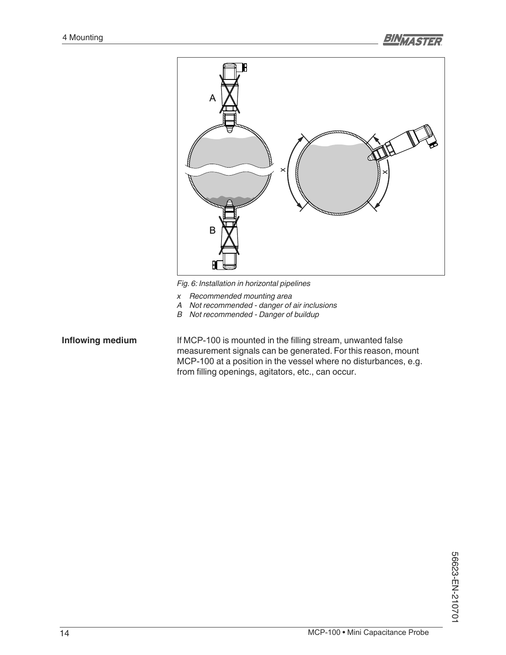

*Fig. 6: Installation in horizontal pipelines*

- *x Recommended mounting area*
- *A Not recommended danger of air inclusions*
- *B Not recommended Danger of buildup*

### **Inflowing medium**

If MCP-100 is mounted in the filling stream, unwanted false measurement signals can be generated. For this reason, mount MCP-100 at a position in the vessel where no disturbances, e.g. from filling openings, agitators, etc., can occur.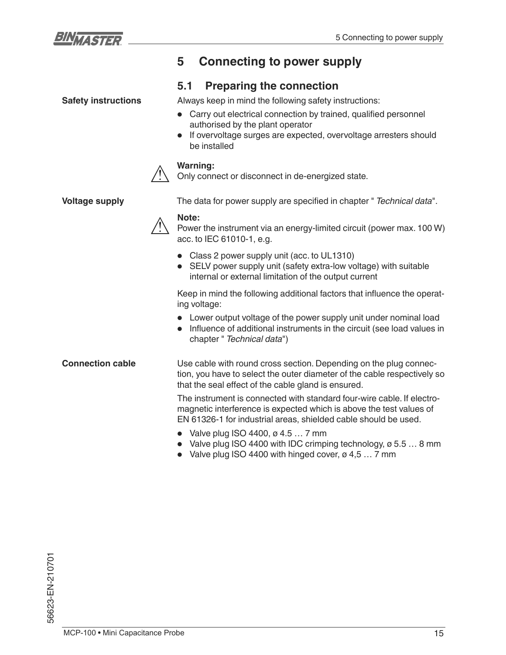

# **5 Connecting to power supply**

### **5.1 Preparing the connection**

**Safety instructions**

Always keep in mind the following safety instructions:

- Carry out electrical connection by trained, qualified personnel authorised by the plant operator
- If overvoltage surges are expected, overvoltage arresters should be installed

### **Warning:**

Only connect or disconnect in de-energized state.

**Voltage supply**

The data for power supply are specified in chapter " Technical data".

# **Note:**

Power the instrument via an energy-limited circuit (power max. 100 W) acc. to IEC 61010-1, e.g.

- Class 2 power supply unit (acc. to UL1310)
- SELV power supply unit (safety extra-low voltage) with suitable internal or external limitation of the output current

Keep in mind the following additional factors that influence the operating voltage:

- Lower output voltage of the power supply unit under nominal load
- Influence of additional instruments in the circuit (see load values in chapter " *Technical data*")

Use cable with round cross section. Depending on the plug connection, you have to select the outer diameter of the cable respectively so that the seal effect of the cable gland is ensured. **Connection cable**

> The instrument is connected with standard four-wire cable. If electromagnetic interference is expected which is above the test values of EN 61326-1 for industrial areas, shielded cable should be used.

- Valve plug ISO 4400,  $\varnothing$  4.5  $\ldots$  7 mm
- Valve plug ISO 4400 with IDC crimping technology,  $\varnothing$  5.5  $\dots$  8 mm
- Valve plug ISO 4400 with hinged cover,  $\varnothing$  4,5  $\dots$  7 mm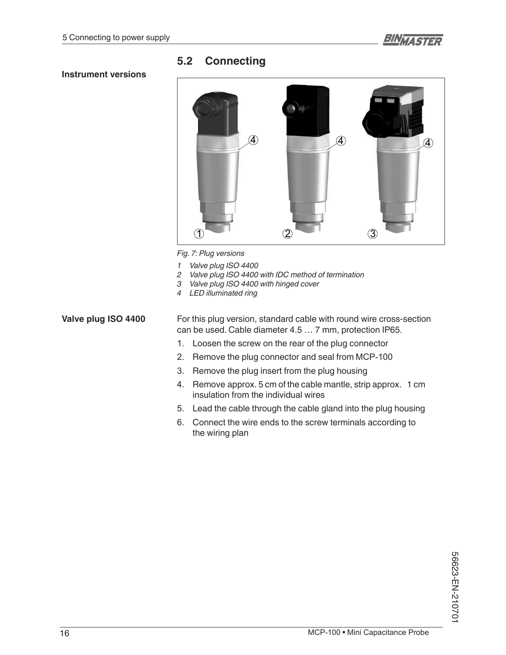### **5.2 Connecting**

### **Instrument versions**



*Fig. 7: Plug versions*

- *1 Valve plug ISO 4400*
- *2 Valve plug ISO 4400 with IDC method of termination*
- *3 Valve plug ISO 4400 with hinged cover*
- *4 LED illuminated ring*

For this plug version, standard cable with round wire cross-section can be used. Cable diameter 4.5 … 7 mm, protection IP65. **Valve plug ISO 4400**

- 1. Loosen the screw on the rear of the plug connector
- 2. Remove the plug connector and seal from MCP-100
- 3. Remove the plug insert from the plug housing
- 4. Remove approx. 5 cm of the cable mantle, strip approx. 1 cm insulation from the individual wires
- Lead the cable through the cable gland into the plug housing
- Connect the wire ends to the screw terminals according to the wiring plan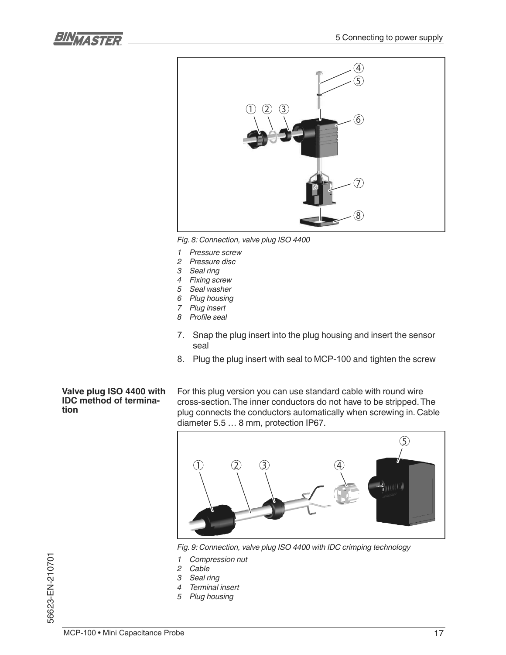



*Fig. 8: Connection, valve plug ISO 4400*

- *1 Pressure screw*
- *2 Pressure disc*
- *3 Seal ring*
- *4 Fixing screw*
- *5 Seal washer*
- *6 Plug housing*
- *7 Plug insert* 8 Profile seal
- 7. Snap the plug insert into the plug housing and insert the sensor seal
- 8. Plug the plug insert with seal to MCP-100 and tighten the screw

#### **Valve plug ISO 4400 with IDC method of termination**

For this plug version you can use standard cable with round wire cross-section. The inner conductors do not have to be stripped. The plug connects the conductors automatically when screwing in. Cable diameter 5.5 … 8 mm, protection IP67.



*Fig. 9: Connection, valve plug ISO 4400 with IDC crimping technology*

- *1 Compression nut*
- *2 Cable*
- *3 Seal ring*
- *4 Terminal insert*
- *5 Plug housing*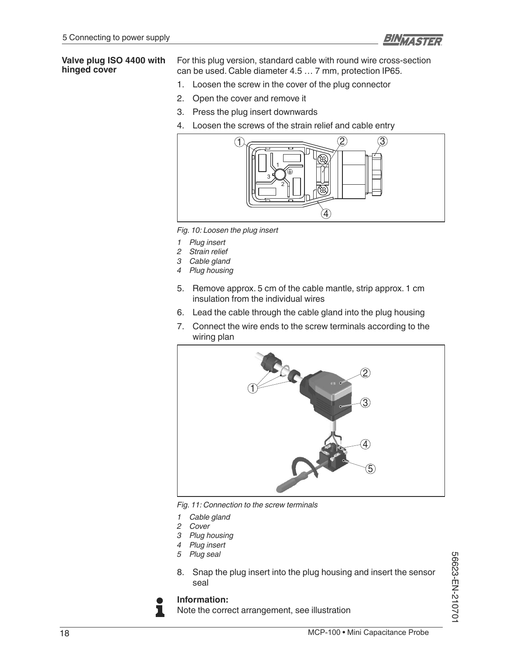

#### **Valve plug ISO 4400 with hinged cover**

For this plug version, standard cable with round wire cross-section can be used. Cable diameter 4.5 … 7 mm, protection IP65.

- 1. Loosen the screw in the cover of the plug connector
- 2. Open the cover and remove it
- 3. Press the plug insert downwards
- 4. Loosen the screws of the strain relief and cable entry



*Fig. 10: Loosen the plug insert*

- *1 Plug insert*
- *2 Strain relief*
- *3 Cable gland*
- *4 Plug housing*
- 5. Remove approx. 5 cm of the cable mantle, strip approx. 1 cm insulation from the individual wires
- 6. Lead the cable through the cable gland into the plug housing
- 7. Connect the wire ends to the screw terminals according to the wiring plan



*Fig. 11: Connection to the screw terminals*

- *1 Cable gland*
- *2 Cover*
- *3 Plug housing*
- *4 Plug insert*
- *5 Plug seal*
- 8. Snap the plug insert into the plug housing and insert the sensor seal

### **Information:**

ı

Note the correct arrangement, see illustration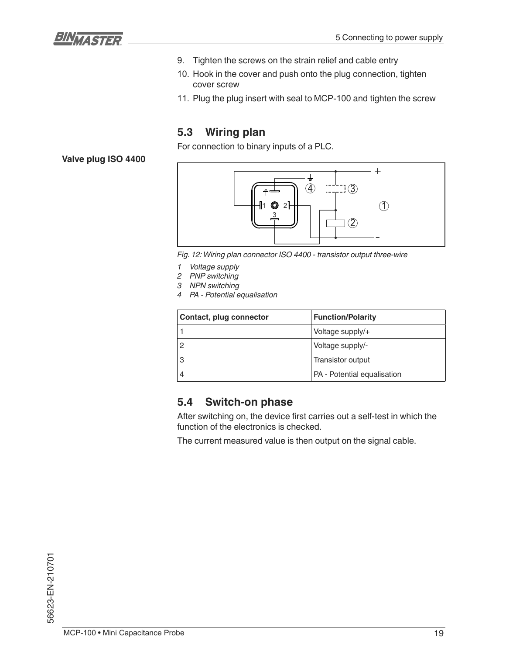

- 9. Tighten the screws on the strain relief and cable entry
- 10. Hook in the cover and push onto the plug connection, tighten cover screw
- 11. Plug the plug insert with seal to MCP-100 and tighten the screw

### **5.3 Wiring plan**

For connection to binary inputs of a PLC.

**Valve plug ISO 4400**



*Fig. 12: Wiring plan connector ISO 4400 - transistor output three-wire*

- *1 Voltage supply*
- *2 PNP switching*
- *3 NPN switching*
- *4 PA Potential equalisation*

| Contact, plug connector | <b>Function/Polarity</b>    |
|-------------------------|-----------------------------|
|                         | Voltage supply/+            |
|                         | Voltage supply/-            |
|                         | Transistor output           |
|                         | PA - Potential equalisation |

### **5.4 Switch-on phase**

After switching on, the device first carries out a self-test in which the function of the electronics is checked.

The current measured value is then output on the signal cable.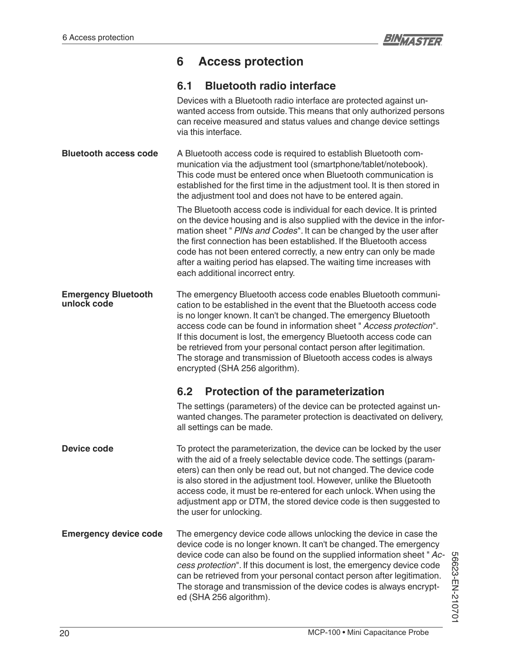# **6 Access protection**

## **6.1 Bluetooth radio interface**

|                                           | Devices with a Bluetooth radio interface are protected against un-<br>wanted access from outside. This means that only authorized persons<br>can receive measured and status values and change device settings<br>via this interface.                                                                                                                                                                                                                                                                                              |  |
|-------------------------------------------|------------------------------------------------------------------------------------------------------------------------------------------------------------------------------------------------------------------------------------------------------------------------------------------------------------------------------------------------------------------------------------------------------------------------------------------------------------------------------------------------------------------------------------|--|
| <b>Bluetooth access code</b>              | A Bluetooth access code is required to establish Bluetooth com-<br>munication via the adjustment tool (smartphone/tablet/notebook).<br>This code must be entered once when Bluetooth communication is<br>established for the first time in the adjustment tool. It is then stored in<br>the adjustment tool and does not have to be entered again.                                                                                                                                                                                 |  |
|                                           | The Bluetooth access code is individual for each device. It is printed<br>on the device housing and is also supplied with the device in the infor-<br>mation sheet " PINs and Codes". It can be changed by the user after<br>the first connection has been established. If the Bluetooth access<br>code has not been entered correctly, a new entry can only be made<br>after a waiting period has elapsed. The waiting time increases with<br>each additional incorrect entry.                                                    |  |
| <b>Emergency Bluetooth</b><br>unlock code | The emergency Bluetooth access code enables Bluetooth communi-<br>cation to be established in the event that the Bluetooth access code<br>is no longer known. It can't be changed. The emergency Bluetooth<br>access code can be found in information sheet " Access protection".<br>If this document is lost, the emergency Bluetooth access code can<br>be retrieved from your personal contact person after legitimation.<br>The storage and transmission of Bluetooth access codes is always<br>encrypted (SHA 256 algorithm). |  |
|                                           | <b>Protection of the parameterization</b><br>6.2                                                                                                                                                                                                                                                                                                                                                                                                                                                                                   |  |
|                                           | The settings (parameters) of the device can be protected against un-<br>wanted changes. The parameter protection is deactivated on delivery,<br>all settings can be made.                                                                                                                                                                                                                                                                                                                                                          |  |
| <b>Device code</b>                        | To protect the parameterization, the device can be locked by the user<br>with the aid of a freely selectable device code. The settings (param-<br>eters) can then only be read out, but not changed. The device code<br>is also stored in the adjustment tool. However, unlike the Bluetooth<br>access code, it must be re-entered for each unlock. When using the<br>adjustment app or DTM, the stored device code is then suggested to<br>the user for unlocking.                                                                |  |
| <b>Emergency device code</b>              | The emergency device code allows unlocking the device in case the<br>device code is no longer known. It can't be changed. The emergency<br>device code can also be found on the supplied information sheet "Ac-<br>cess protection". If this document is lost, the emergency device code<br>can be retrieved from your personal contact person after legitimation.<br>The storage and transmission of the device codes is always encrypt-<br>ed (SHA 256 algorithm).                                                               |  |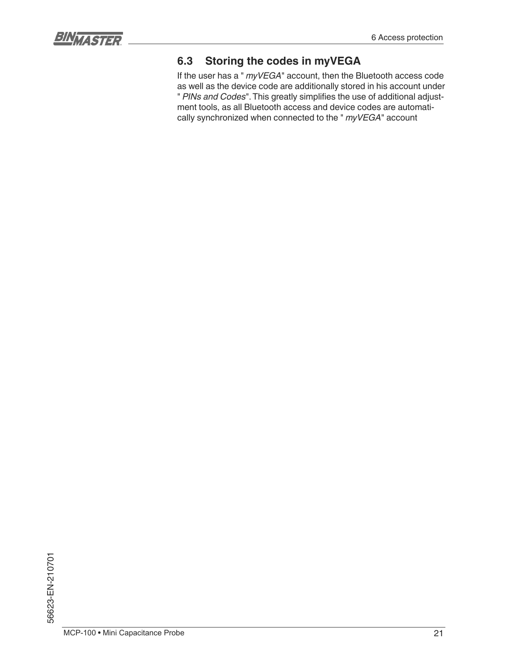

# **6.3 Storing the codes in myVEGA**

If the user has a " *myVEGA*" account, then the Bluetooth access code as well as the device code are additionally stored in his account under " PINs and Codes". This greatly simplifies the use of additional adjustment tools, as all Bluetooth access and device codes are automatically synchronized when connected to the " *myVEGA*" account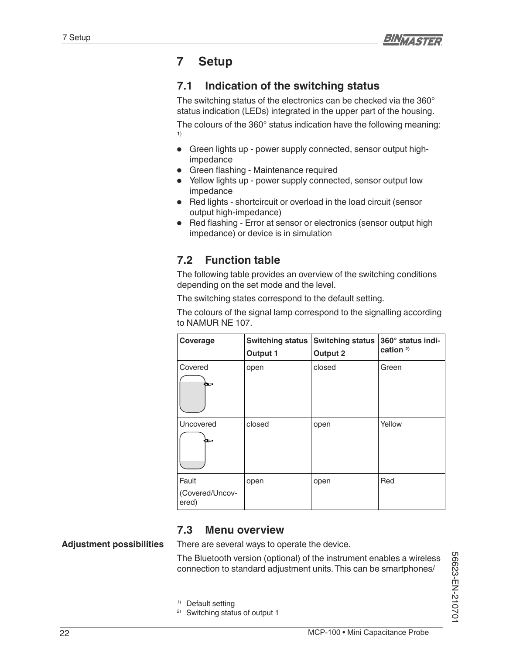# **7 Setup**

# **7.1 Indication of the switching status**

The switching status of the electronics can be checked via the 360° status indication (LEDs) integrated in the upper part of the housing. The colours of the 360° status indication have the following meaning: 1)

- Green lights up power supply connected, sensor output highimpedance
- Green flashing Maintenance required
- Yellow lights up power supply connected, sensor output low impedance
- Red lights shortcircuit or overload in the load circuit (sensor output high-impedance)
- Red flashing Error at sensor or electronics (sensor output high impedance) or device is in simulation

# **7.2 Function table**

The following table provides an overview of the switching conditions depending on the set mode and the level.

The switching states correspond to the default setting.

The colours of the signal lamp correspond to the signalling according to NAMUR NE 107.

| Coverage                          | <b>Switching status</b><br>Output 1 | <b>Switching status</b><br><b>Output 2</b> | 360° status indi-<br>cation <sup>2)</sup> |
|-----------------------------------|-------------------------------------|--------------------------------------------|-------------------------------------------|
| Covered<br>òππ.                   | open                                | closed                                     | Green                                     |
| Uncovered<br>αmυ⊳                 | closed                              | open                                       | Yellow                                    |
| Fault<br>(Covered/Uncov-<br>ered) | open                                | open                                       | Red                                       |

### **7.3 Menu overview**

### **Adjustment possibilities**

There are several ways to operate the device.

The Bluetooth version (optional) of the instrument enables a wireless connection to standard adjustment units. This can be smartphones/

1) Default setting

2) Switching status of output 1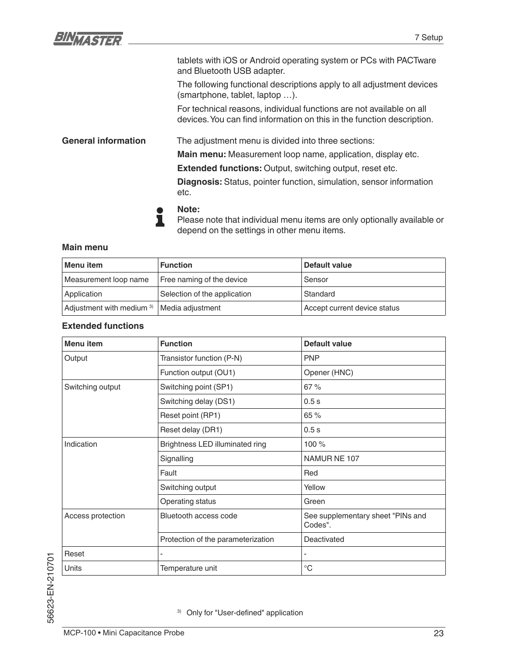| BINVASTER                  | 7 Setup                                                                                                                                        |
|----------------------------|------------------------------------------------------------------------------------------------------------------------------------------------|
|                            | tablets with iOS or Android operating system or PCs with PACTware<br>and Bluetooth USB adapter.                                                |
|                            | The following functional descriptions apply to all adjustment devices<br>(smartphone, tablet, laptop ).                                        |
|                            | For technical reasons, individual functions are not available on all<br>devices. You can find information on this in the function description. |
| <b>General information</b> | The adjustment menu is divided into three sections:                                                                                            |
|                            | Main menu: Measurement loop name, application, display etc.                                                                                    |
|                            | Extended functions: Output, switching output, reset etc.                                                                                       |
|                            | <b>Diagnosis:</b> Status, pointer function, simulation, sensor information<br>etc.                                                             |
|                            | Note:                                                                                                                                          |

Please note that individual menu items are only optionally available or depend on the settings in other menu items.

#### **Main menu**

| Menu item                                             | <b>Function</b>              | Default value                |
|-------------------------------------------------------|------------------------------|------------------------------|
| Measurement loop name                                 | Free naming of the device    | Sensor                       |
| Application                                           | Selection of the application | Standard                     |
| Adjustment with medium <sup>3)</sup> Media adjustment |                              | Accept current device status |

### **Extended functions**

ı

| <b>Menu</b> item  | <b>Function</b>                    | <b>Default value</b>                         |
|-------------------|------------------------------------|----------------------------------------------|
| Output            | Transistor function (P-N)          | <b>PNP</b>                                   |
|                   | Function output (OU1)              | Opener (HNC)                                 |
| Switching output  | Switching point (SP1)              | 67 %                                         |
|                   | Switching delay (DS1)              | 0.5s                                         |
|                   | Reset point (RP1)                  | 65 %                                         |
|                   | Reset delay (DR1)                  | 0.5s                                         |
| Indication        | Brightness LED illuminated ring    | 100 %                                        |
|                   | Signalling                         | NAMUR NE 107                                 |
|                   | Fault                              | Red                                          |
|                   | Switching output                   | Yellow                                       |
|                   | Operating status                   | Green                                        |
| Access protection | Bluetooth access code              | See supplementary sheet "PINs and<br>Codes". |
|                   | Protection of the parameterization | Deactivated                                  |
| Reset             | $\overline{\phantom{a}}$           |                                              |
| <b>Units</b>      | Temperature unit                   | $^{\circ}C$                                  |

3) Only for "User-defined" application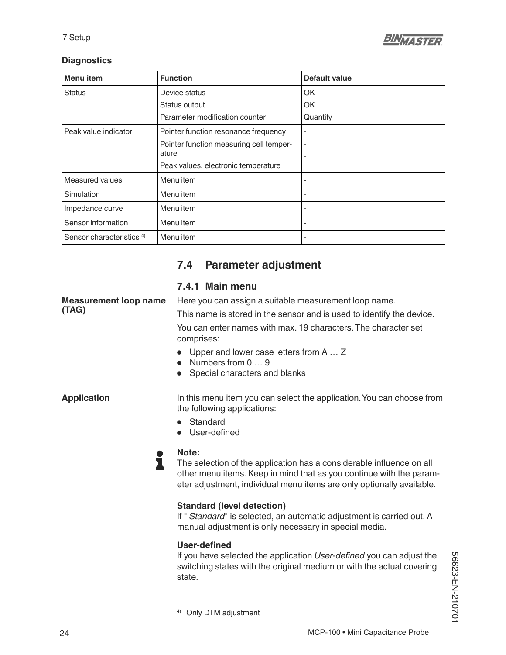

### **Diagnostics**

| Menu item                            | <b>Function</b>                         | Default value                |
|--------------------------------------|-----------------------------------------|------------------------------|
| <b>Status</b>                        | Device status                           | OK                           |
|                                      | Status output                           | OK                           |
|                                      | Parameter modification counter          | Quantity                     |
| Peak value indicator                 | Pointer function resonance frequency    | $\qquad \qquad \blacksquare$ |
|                                      | Pointer function measuring cell temper- | $\overline{\phantom{a}}$     |
|                                      | ature                                   |                              |
|                                      | Peak values, electronic temperature     |                              |
| <b>Measured values</b>               | Menu item                               |                              |
| Simulation                           | Menu item                               |                              |
| Impedance curve                      | Menu item                               | -                            |
| Sensor information                   | Menu item                               | -                            |
| Sensor characteristics <sup>4)</sup> | Menu item                               | -                            |

# **7.4 Parameter adjustment**

### **7.4.1 Main menu**

**Measurement loop name (TAG)**

Here you can assign a suitable measurement loop name.

This name is stored in the sensor and is used to identify the device.

You can enter names with max. 19 characters. The character set comprises:

- Upper and lower case letters from A … Z
- Numbers from 0 ... 9
- Special characters and blanks

**Application**

In this menu item you can select the application. You can choose from the following applications:

- **Standard**
- User-defined

### **Note:**

L

The selection of the application has a considerable influence on all other menu items. Keep in mind that as you continue with the parameter adjustment, individual menu items are only optionally available.

#### **Standard (level detection)**

If " *Standard*" is selected, an automatic adjustment is carried out. A manual adjustment is only necessary in special media.

#### User-defined

If you have selected the application *User-defined* you can adjust the switching states with the original medium or with the actual covering state.

56623-EN-210701 56623-EN-210701

4) Only DTM adjustment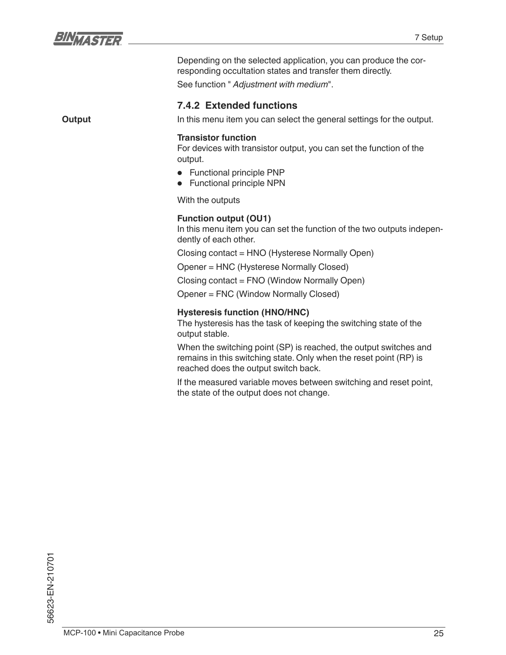

Depending on the selected application, you can produce the corresponding occultation states and transfer them directly.

See function " *Adjustment with medium*".

### **7.4.2 Extended functions**

**Output**

In this menu item you can select the general settings for the output.

#### **Transistor function**

For devices with transistor output, you can set the function of the output.

- Functional principle PNP
- Functional principle NPN

With the outputs

### **Function output (OU1)**

In this menu item you can set the function of the two outputs independently of each other.

Closing contact = HNO (Hysterese Normally Open)

Opener = HNC (Hysterese Normally Closed)

Closing contact = FNO (Window Normally Open)

Opener = FNC (Window Normally Closed)

### **Hysteresis function (HNO/HNC)**

The hysteresis has the task of keeping the switching state of the output stable.

When the switching point (SP) is reached, the output switches and remains in this switching state. Only when the reset point (RP) is reached does the output switch back.

If the measured variable moves between switching and reset point, the state of the output does not change.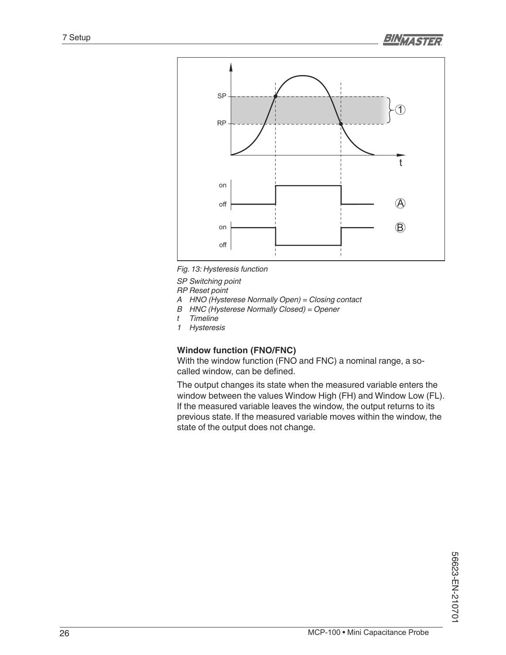

*Fig. 13: Hysteresis function*

*SP Switching point*

*RP Reset point*

- *A HNO (Hysterese Normally Open) = Closing contact*
- *B HNC (Hysterese Normally Closed) = Opener*
- *t Timeline*
- *1 Hysteresis*

### **Window function (FNO/FNC)**

With the window function (FNO and FNC) a nominal range, a so called window, can be defined.

The output changes its state when the measured variable enters the window between the values Window High (FH) and Window Low (FL). If the measured variable leaves the window, the output returns to its previous state. If the measured variable moves within the window, the state of the output does not change.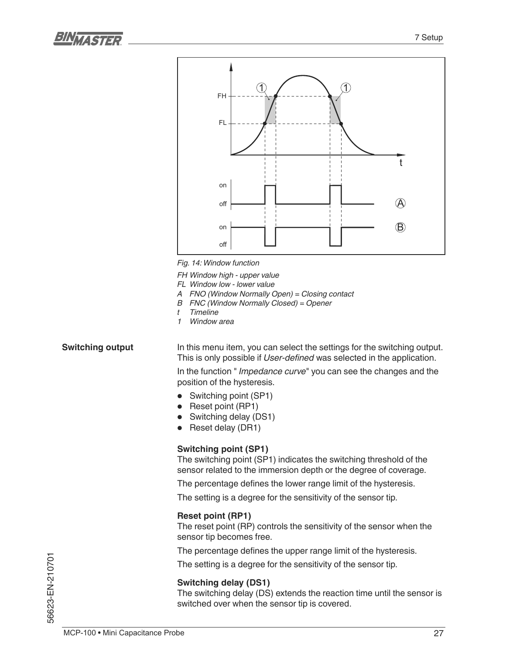



*Fig. 14: Window function*

*FH Window high - upper value*

- *FL Window low lower value*
- *A FNO (Window Normally Open) = Closing contact*
- *B FNC (Window Normally Closed) = Opener*
- *t Timeline*
- *1 Window area*

#### **Switching output**

In this menu item, you can select the settings for the switching output. This is only possible if *User-defined* was selected in the application.

In the function " *Impedance curve*" you can see the changes and the position of the hysteresis.

- Switching point (SP1)
- Reset point (RP1)
- Switching delay (DS1)
- Reset delay (DR1)

#### **Switching point (SP1)**

The switching point (SP1) indicates the switching threshold of the sensor related to the immersion depth or the degree of coverage.

The percentage defines the lower range limit of the hysteresis.

The setting is a degree for the sensitivity of the sensor tip.

#### **Reset point (RP1)**

The reset point (RP) controls the sensitivity of the sensor when the sensor tip becomes free.

The percentage defines the upper range limit of the hysteresis.

The setting is a degree for the sensitivity of the sensor tip.

#### **Switching delay (DS1)**

The switching delay (DS) extends the reaction time until the sensor is switched over when the sensor tip is covered.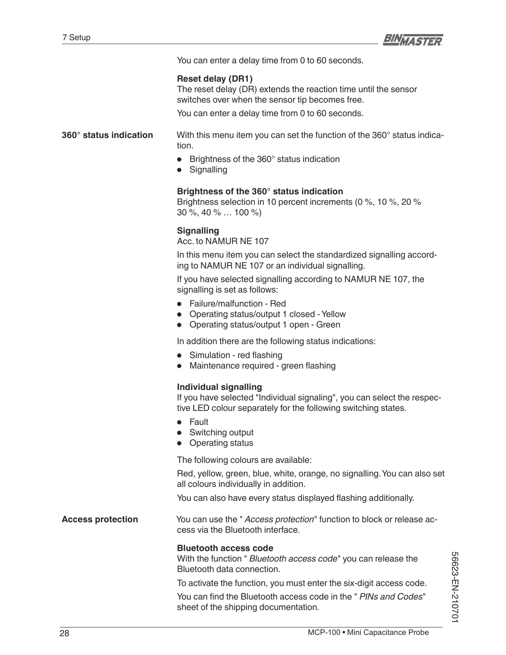

You can enter a delay time from 0 to 60 seconds.

#### **Reset delay (DR1)**

The reset delay (DR) extends the reaction time until the sensor switches over when the sensor tip becomes free.

You can enter a delay time from 0 to 60 seconds.

#### **360° status indication**

With this menu item you can set the function of the 360° status indication.

- Brightness of the 360° status indication
- Signalling

### **Brightness of the 360° status indication**

Brightness selection in 10 percent increments (0 %, 10 %, 20 % 30 %, 40 % … 100 %)

#### **Signalling**

Acc. to NAMUR NE 107

In this menu item you can select the standardized signalling according to NAMUR NE 107 or an individual signalling.

If you have selected signalling according to NAMUR NE 107, the signalling is set as follows:

- Failure/malfunction Red
- Operating status/output 1 closed Yellow
- Operating status/output 1 open Green

In addition there are the following status indications:

- Simulation red flashing
- Maintenance required green flashing

#### **Individual signalling**

If you have selected "Individual signaling", you can select the respective LED colour separately for the following switching states.

- Fault
- Switching output
- Operating status

The following colours are available:

Red, yellow, green, blue, white, orange, no signalling. You can also set all colours individually in addition.

You can also have every status displayed flashing additionally.

You can use the " *Access protection*" function to block or release access via the Bluetooth interface. **Access protection**

#### **Bluetooth access code**

With the function " *Bluetooth access code*" you can release the Bluetooth data connection.

To activate the function, you must enter the six-digit access code.

You can find the Bluetooth access code in the "*PINs and Codes*" sheet of the shipping documentation.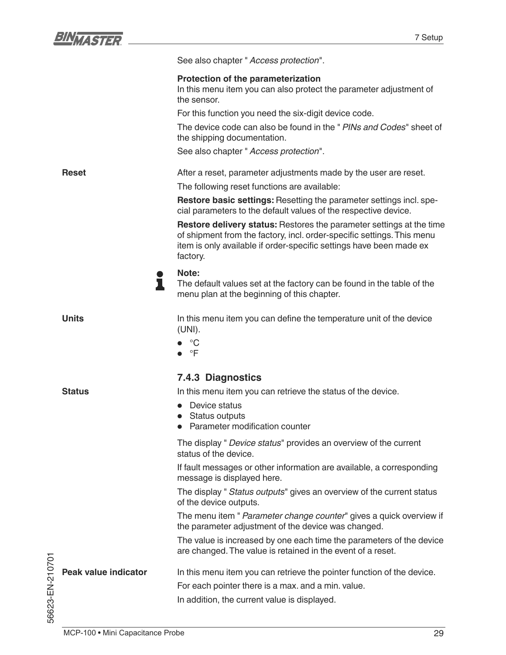|                      | See also chapter " Access protection".                                                                                                                                                                                                   |
|----------------------|------------------------------------------------------------------------------------------------------------------------------------------------------------------------------------------------------------------------------------------|
|                      | Protection of the parameterization<br>In this menu item you can also protect the parameter adjustment of<br>the sensor.                                                                                                                  |
|                      | For this function you need the six-digit device code.                                                                                                                                                                                    |
|                      | The device code can also be found in the " PINs and Codes" sheet of<br>the shipping documentation.                                                                                                                                       |
|                      | See also chapter " Access protection".                                                                                                                                                                                                   |
| <b>Reset</b>         | After a reset, parameter adjustments made by the user are reset.                                                                                                                                                                         |
|                      | The following reset functions are available:                                                                                                                                                                                             |
|                      | Restore basic settings: Resetting the parameter settings incl. spe-<br>cial parameters to the default values of the respective device.                                                                                                   |
|                      | <b>Restore delivery status:</b> Restores the parameter settings at the time<br>of shipment from the factory, incl. order-specific settings. This menu<br>item is only available if order-specific settings have been made ex<br>factory. |
|                      | Note:<br>The default values set at the factory can be found in the table of the<br>menu plan at the beginning of this chapter.                                                                                                           |
| <b>Units</b>         | In this menu item you can define the temperature unit of the device<br>$(UNI)$ .                                                                                                                                                         |
|                      | °C<br>$\bullet \quad \text{ }^{\circ}$ F                                                                                                                                                                                                 |
|                      | 7.4.3 Diagnostics                                                                                                                                                                                                                        |
| <b>Status</b>        | In this menu item you can retrieve the status of the device.                                                                                                                                                                             |
|                      | Device status                                                                                                                                                                                                                            |
|                      | Status outputs<br>Parameter modification counter                                                                                                                                                                                         |
|                      | The display " Device status" provides an overview of the current<br>status of the device.                                                                                                                                                |
|                      | If fault messages or other information are available, a corresponding<br>message is displayed here.                                                                                                                                      |
|                      | The display " Status outputs" gives an overview of the current status<br>of the device outputs.                                                                                                                                          |
|                      | The menu item " Parameter change counter" gives a quick overview if<br>the parameter adjustment of the device was changed.                                                                                                               |
|                      | The value is increased by one each time the parameters of the device<br>are changed. The value is retained in the event of a reset.                                                                                                      |
| Peak value indicator | In this menu item you can retrieve the pointer function of the device.                                                                                                                                                                   |
|                      | For each pointer there is a max. and a min. value.                                                                                                                                                                                       |
|                      | In addition, the current value is displayed.                                                                                                                                                                                             |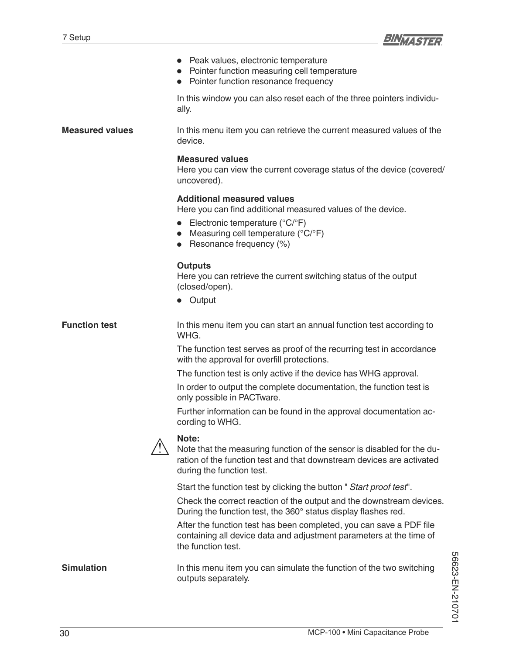

|                        | Peak values, electronic temperature<br>Pointer function measuring cell temperature<br>Pointer function resonance frequency                                                                                            |
|------------------------|-----------------------------------------------------------------------------------------------------------------------------------------------------------------------------------------------------------------------|
|                        | In this window you can also reset each of the three pointers individu-<br>ally.                                                                                                                                       |
| <b>Measured values</b> | In this menu item you can retrieve the current measured values of the<br>device.                                                                                                                                      |
|                        | <b>Measured values</b><br>Here you can view the current coverage status of the device (covered/<br>uncovered).                                                                                                        |
|                        | <b>Additional measured values</b><br>Here you can find additional measured values of the device.<br>Electronic temperature ( $^{\circ}C/^{\circ}F$ )<br>Measuring cell temperature (°C/°F)<br>Resonance frequency (%) |
|                        | <b>Outputs</b><br>Here you can retrieve the current switching status of the output<br>(closed/open).<br>• Output                                                                                                      |
| <b>Function test</b>   | In this menu item you can start an annual function test according to<br>WHG.                                                                                                                                          |
|                        | The function test serves as proof of the recurring test in accordance<br>with the approval for overfill protections.                                                                                                  |
|                        | The function test is only active if the device has WHG approval.                                                                                                                                                      |
|                        | In order to output the complete documentation, the function test is<br>only possible in PACTware.                                                                                                                     |
|                        | Further information can be found in the approval documentation ac-<br>cording to WHG.                                                                                                                                 |
|                        | Note:<br>Note that the measuring function of the sensor is disabled for the du-<br>ration of the function test and that downstream devices are activated<br>during the function test.                                 |
|                        | Start the function test by clicking the button "Start proof test".                                                                                                                                                    |
|                        | Check the correct reaction of the output and the downstream devices.<br>During the function test, the 360° status display flashes red.                                                                                |
|                        | After the function test has been completed, you can save a PDF file<br>containing all device data and adjustment parameters at the time of<br>the function test.                                                      |
| <b>Simulation</b>      | In this menu item you can simulate the function of the two switching<br>outputs separately.                                                                                                                           |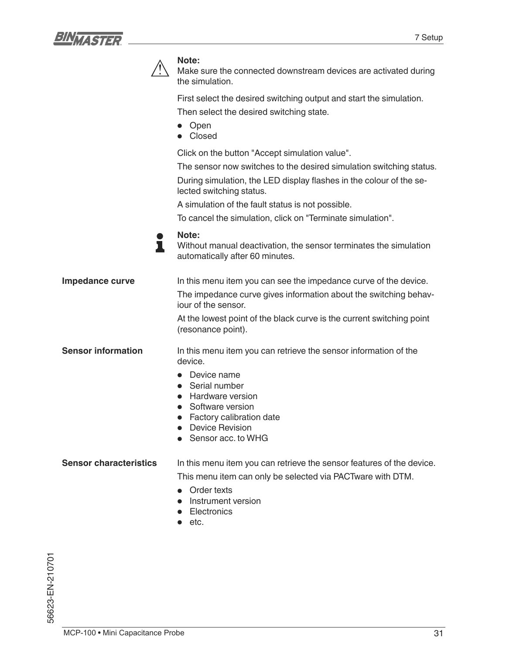



#### **Note:**

Make sure the connected downstream devices are activated during the simulation.

First select the desired switching output and start the simulation. Then select the desired switching state.

- Open
- Closed

Click on the button "Accept simulation value".

The sensor now switches to the desired simulation switching status.

During simulation, the LED display flashes in the colour of the selected switching status.

A simulation of the fault status is not possible.

To cancel the simulation, click on "Terminate simulation".

**Note:** T

Without manual deactivation, the sensor terminates the simulation automatically after 60 minutes.

In this menu item you can see the impedance curve of the device. The impedance curve gives information about the switching behaviour of the sensor. At the lowest point of the black curve is the current switching point **Impedance curve**

In this menu item you can retrieve the sensor information of the device. **Sensor information**

• Device name

(resonance point).

- Serial number
- Hardware version
- Software version
- Factory calibration date
- Device Revision
- Sensor acc. to WHG

In this menu item you can retrieve the sensor features of the device. **Sensor characteristics**

This menu item can only be selected via PACTware with DTM.

- Order texts
- Instrument version
- **Electronics**
- etc.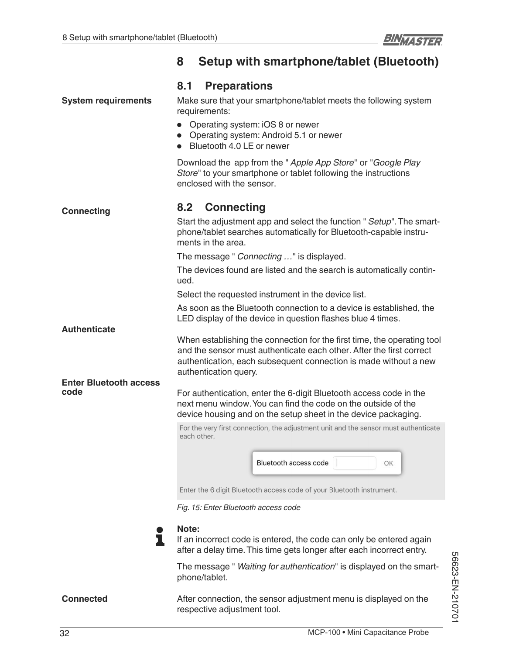# **8 Setup with smartphone/tablet (Bluetooth)**

|                               | 8.1<br><b>Preparations</b>                                                                                                                                                                                                                   |  |
|-------------------------------|----------------------------------------------------------------------------------------------------------------------------------------------------------------------------------------------------------------------------------------------|--|
| <b>System requirements</b>    | Make sure that your smartphone/tablet meets the following system<br>requirements:                                                                                                                                                            |  |
|                               | • Operating system: iOS 8 or newer<br>• Operating system: Android 5.1 or newer<br>Bluetooth 4.0 LE or newer<br>$\bullet$                                                                                                                     |  |
|                               | Download the app from the " Apple App Store" or "Google Play<br>Store" to your smartphone or tablet following the instructions<br>enclosed with the sensor.                                                                                  |  |
| <b>Connecting</b>             | 8.2<br><b>Connecting</b>                                                                                                                                                                                                                     |  |
|                               | Start the adjustment app and select the function " Setup". The smart-<br>phone/tablet searches automatically for Bluetooth-capable instru-<br>ments in the area.                                                                             |  |
|                               | The message " Connecting " is displayed.                                                                                                                                                                                                     |  |
|                               | The devices found are listed and the search is automatically contin-<br>ued.                                                                                                                                                                 |  |
|                               | Select the requested instrument in the device list.                                                                                                                                                                                          |  |
|                               | As soon as the Bluetooth connection to a device is established, the<br>LED display of the device in question flashes blue 4 times.                                                                                                           |  |
| <b>Authenticate</b>           | When establishing the connection for the first time, the operating tool<br>and the sensor must authenticate each other. After the first correct<br>authentication, each subsequent connection is made without a new<br>authentication query. |  |
| <b>Enter Bluetooth access</b> |                                                                                                                                                                                                                                              |  |
| code                          | For authentication, enter the 6-digit Bluetooth access code in the<br>next menu window. You can find the code on the outside of the<br>device housing and on the setup sheet in the device packaging.                                        |  |
|                               | For the very first connection, the adjustment unit and the sensor must authenticate<br>each other.<br>Bluetooth access code<br>OK                                                                                                            |  |
|                               | Enter the 6 digit Bluetooth access code of your Bluetooth instrument.                                                                                                                                                                        |  |

*Fig. 15: Enter Bluetooth access code*



**Note:** If an incorrect code is entered, the code can only be entered again after a delay time. This time gets longer after each incorrect entry.

The message " *Waiting for authentication*" is displayed on the smartphone/tablet.

After connection, the sensor adjustment menu is displayed on the respective adjustment tool.

**Connected**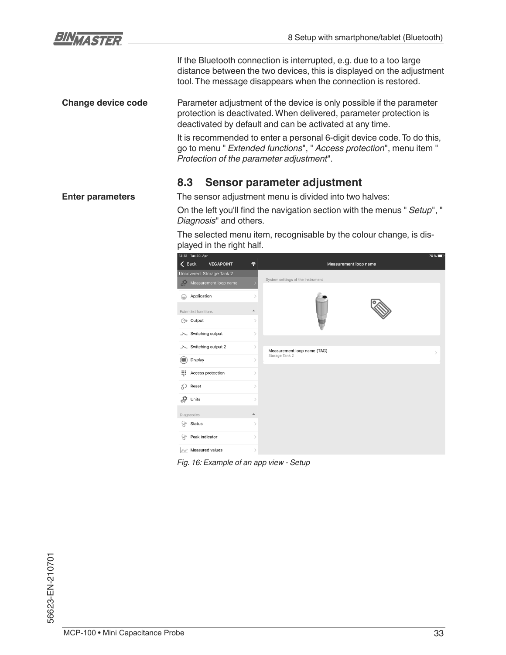

If the Bluetooth connection is interrupted, e.g. due to a too large distance between the two devices, this is displayed on the adjustment tool. The message disappears when the connection is restored.

Parameter adjustment of the device is only possible if the parameter protection is deactivated. When delivered, parameter protection is deactivated by default and can be activated at any time. **Change device code**

> It is recommended to enter a personal 6-digit device code. To do this, go to menu " *Extended functions*", " *Access protection*", menu item " *Protection of the parameter adjustment*".

### **8.3 Sensor parameter adjustment**

The sensor adjustment menu is divided into two halves: **Enter parameters**

On the left you'll find the navigation section with the menus " Setup", " *Diagnosis*" and others.

The selected menu item, recognisable by the colour change, is displayed in the right half.



*Fig. 16: Example of an app view - Setup*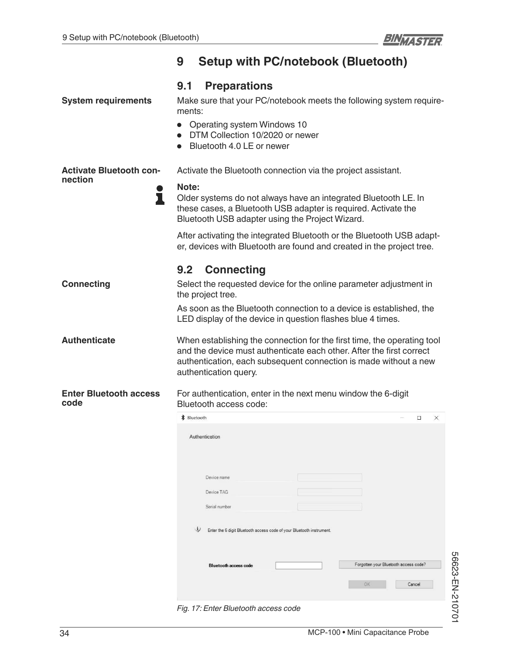|                                                | <b>Setup with PC/notebook (Bluetooth)</b><br>9                                                                                                                                                                                                            |  |
|------------------------------------------------|-----------------------------------------------------------------------------------------------------------------------------------------------------------------------------------------------------------------------------------------------------------|--|
| <b>System requirements</b>                     | <b>Preparations</b><br>9.1<br>Make sure that your PC/notebook meets the following system require-<br>ments:<br><b>Operating system Windows 10</b><br>DTM Collection 10/2020 or newer<br>Bluetooth 4.0 LE or newer                                         |  |
| <b>Activate Bluetooth con-</b><br>nection<br>ı | Activate the Bluetooth connection via the project assistant.<br>Note:<br>Older systems do not always have an integrated Bluetooth LE. In<br>these cases, a Bluetooth USB adapter is required. Activate the                                                |  |
|                                                | Bluetooth USB adapter using the Project Wizard.<br>After activating the integrated Bluetooth or the Bluetooth USB adapt-<br>er, devices with Bluetooth are found and created in the project tree.                                                         |  |
| <b>Connecting</b>                              | <b>Connecting</b><br>9.2<br>Select the requested device for the online parameter adjustment in<br>the project tree.<br>As soon as the Bluetooth connection to a device is established, the<br>LED display of the device in question flashes blue 4 times. |  |
| <b>Authenticate</b>                            | When establishing the connection for the first time, the operating tool<br>and the device must authenticate each other. After the first correct<br>authentication, each subsequent connection is made without a new<br>authentication query.              |  |
| <b>Enter Bluetooth access</b><br>code          | For authentication, enter in the next menu window the 6-digit<br>Bluetooth access code:                                                                                                                                                                   |  |
|                                                | <b>*</b> Bluetooth<br>$\Box$<br>$\times$<br>Authentication<br>Device name                                                                                                                                                                                 |  |
|                                                | Device TAG<br>Serial number                                                                                                                                                                                                                               |  |
|                                                | W<br>Enter the 6 digit Bluetooth access code of your Bluetooth instrument.                                                                                                                                                                                |  |
|                                                | Forgotten your Bluetooth access code?<br><b>Bluetooth access code</b>                                                                                                                                                                                     |  |
|                                                | OK<br>Cancel                                                                                                                                                                                                                                              |  |

*Fig. 17: Enter Bluetooth access code*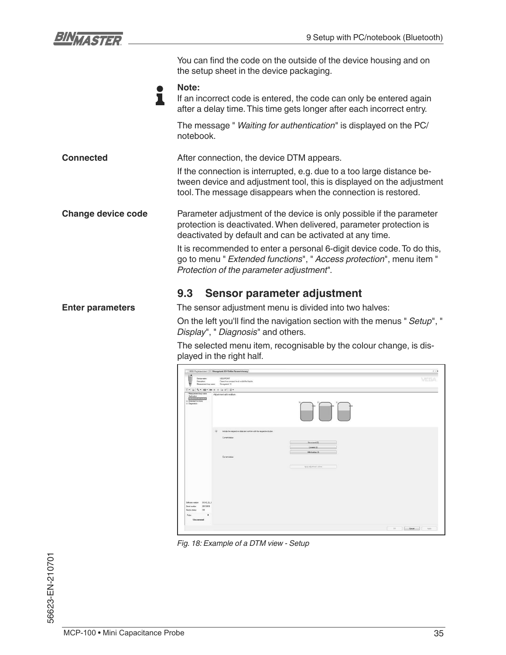

|                           | You can find the code on the outside of the device housing and on<br>the setup sheet in the device packaging.                                                                                                    |  |
|---------------------------|------------------------------------------------------------------------------------------------------------------------------------------------------------------------------------------------------------------|--|
|                           | Note:<br>If an incorrect code is entered, the code can only be entered again<br>after a delay time. This time gets longer after each incorrect entry.                                                            |  |
|                           | The message " Waiting for authentication" is displayed on the PC/<br>notebook.                                                                                                                                   |  |
| <b>Connected</b>          | After connection, the device DTM appears.                                                                                                                                                                        |  |
|                           | If the connection is interrupted, e.g. due to a too large distance be-<br>tween device and adjustment tool, this is displayed on the adjustment<br>tool. The message disappears when the connection is restored. |  |
| <b>Change device code</b> | Parameter adjustment of the device is only possible if the parameter<br>protection is deactivated. When delivered, parameter protection is<br>deactivated by default and can be activated at any time.           |  |
|                           | It is recommended to enter a personal 6-digit device code. To do this,<br>go to menu " Extended functions", " Access protection", menu item "<br>Protection of the parameter adjustment".                        |  |
|                           | Sensor parameter adjustment<br>9.3                                                                                                                                                                               |  |
| <b>Enter parameters</b>   | The sensor adjustment menu is divided into two halves:                                                                                                                                                           |  |
|                           | On the left you'll find the navigation section with the menus " Setup", "<br>Display", " Diagnosis" and others.                                                                                                  |  |
|                           | The selected menu item, recognisable by the colour change, is dis-<br>played in the right half.                                                                                                                  |  |
|                           |                                                                                                                                                                                                                  |  |



*Fig. 18: Example of a DTM view - Setup*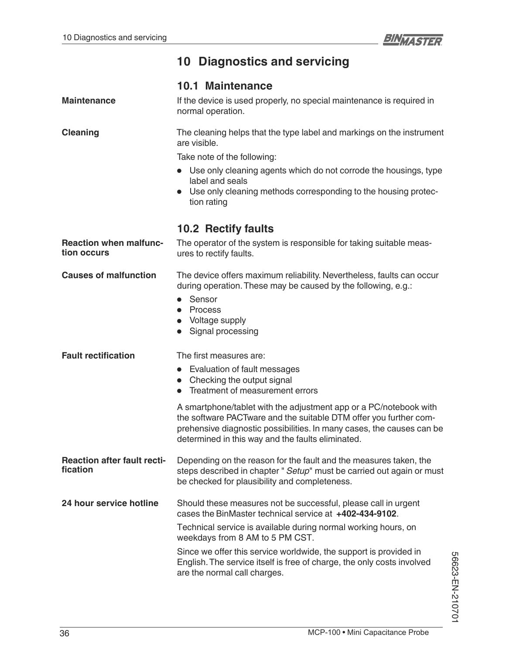# **10 Diagnostics and servicing**

|                                                | <b>10.1 Maintenance</b>                                                                                                                                                                                                                                              |  |
|------------------------------------------------|----------------------------------------------------------------------------------------------------------------------------------------------------------------------------------------------------------------------------------------------------------------------|--|
| <b>Maintenance</b>                             | If the device is used properly, no special maintenance is required in<br>normal operation.                                                                                                                                                                           |  |
| <b>Cleaning</b>                                | The cleaning helps that the type label and markings on the instrument<br>are visible.<br>Take note of the following:<br>• Use only cleaning agents which do not corrode the housings, type                                                                           |  |
|                                                | label and seals<br>• Use only cleaning methods corresponding to the housing protec-<br>tion rating                                                                                                                                                                   |  |
|                                                | <b>10.2 Rectify faults</b>                                                                                                                                                                                                                                           |  |
| <b>Reaction when malfunc-</b><br>tion occurs   | The operator of the system is responsible for taking suitable meas-<br>ures to rectify faults.                                                                                                                                                                       |  |
| <b>Causes of malfunction</b>                   | The device offers maximum reliability. Nevertheless, faults can occur<br>during operation. These may be caused by the following, e.g.:<br>Sensor<br>$\bullet$<br>• Process<br>• Voltage supply<br>Signal processing                                                  |  |
| <b>Fault rectification</b>                     | The first measures are:                                                                                                                                                                                                                                              |  |
|                                                | • Evaluation of fault messages                                                                                                                                                                                                                                       |  |
|                                                | • Checking the output signal<br>Treatment of measurement errors                                                                                                                                                                                                      |  |
|                                                | A smartphone/tablet with the adjustment app or a PC/notebook with<br>the software PACTware and the suitable DTM offer you further com-<br>prehensive diagnostic possibilities. In many cases, the causes can be<br>determined in this way and the faults eliminated. |  |
| <b>Reaction after fault recti-</b><br>fication | Depending on the reason for the fault and the measures taken, the<br>steps described in chapter " Setup" must be carried out again or must<br>be checked for plausibility and completeness.                                                                          |  |
| 24 hour service hotline                        | Should these measures not be successful, please call in urgent<br>cases the BinMaster technical service at +402-434-9102.                                                                                                                                            |  |
|                                                | Technical service is available during normal working hours, on<br>weekdays from 8 AM to 5 PM CST.                                                                                                                                                                    |  |
|                                                | Since we offer this service worldwide, the support is provided in<br>English. The service itself is free of charge, the only costs involved<br>are the normal call charges.                                                                                          |  |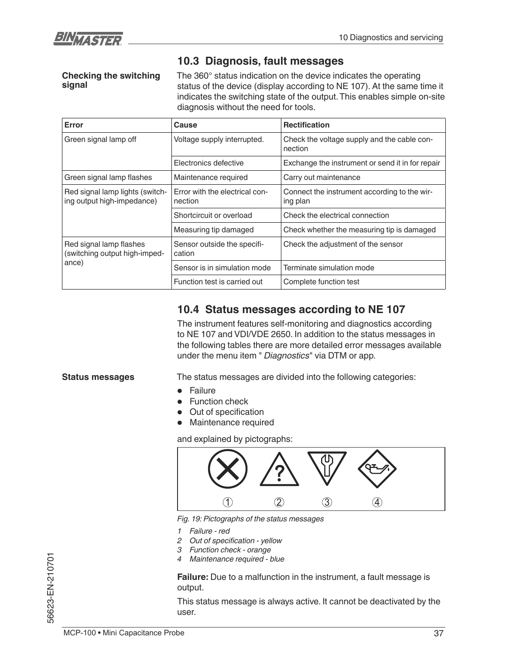

### **10.3 Diagnosis, fault messages**

**Checking the switching signal**

The 360° status indication on the device indicates the operating status of the device (display according to NE 107). At the same time it indicates the switching state of the output. This enables simple on-site diagnosis without the need for tools.

| Error                                                         | Cause                                     | <b>Rectification</b>                                     |
|---------------------------------------------------------------|-------------------------------------------|----------------------------------------------------------|
| Green signal lamp off                                         | Voltage supply interrupted.               | Check the voltage supply and the cable con-<br>nection   |
|                                                               | Electronics defective                     | Exchange the instrument or send it in for repair         |
| Green signal lamp flashes                                     | Maintenance required                      | Carry out maintenance                                    |
| Red signal lamp lights (switch-<br>ing output high-impedance) | Error with the electrical con-<br>nection | Connect the instrument according to the wir-<br>ing plan |
|                                                               | Shortcircuit or overload                  | Check the electrical connection                          |
|                                                               | Measuring tip damaged                     | Check whether the measuring tip is damaged               |
| Red signal lamp flashes<br>(switching output high-imped-      | Sensor outside the specifi-<br>cation     | Check the adjustment of the sensor                       |
| ance)                                                         | Sensor is in simulation mode              | Terminate simulation mode                                |
|                                                               | Function test is carried out              | Complete function test                                   |

### **10.4 Status messages according to NE 107**

The instrument features self-monitoring and diagnostics according to NE 107 and VDI/VDE 2650. In addition to the status messages in the following tables there are more detailed error messages available under the menu item " *Diagnostics*" via DTM or app.

#### **Status messages**

The status messages are divided into the following categories:

- **Failure**
- **Function check**
- Out of specification
- Maintenance required

and explained by pictographs:



*Fig. 19: Pictographs of the status messages*

- *1 Failure red*
- **2** *Out of specification yellow*
- *3 Function check orange*
- *4 Maintenance required blue*

**Failure:** Due to a malfunction in the instrument, a fault message is output.

This status message is always active. It cannot be deactivated by the user.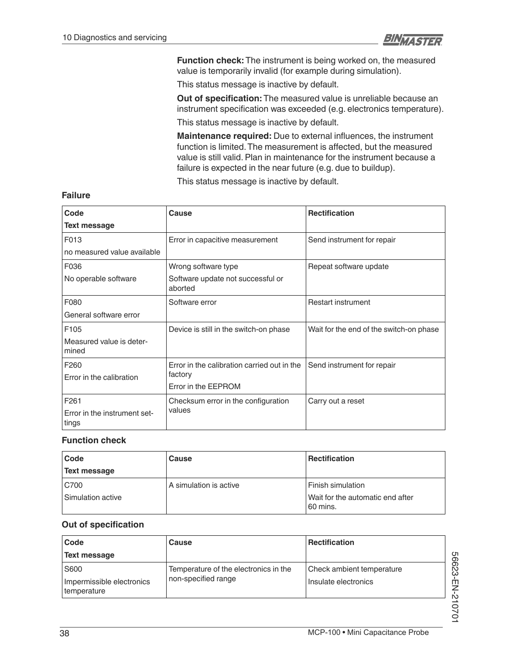

**Function check:** The instrument is being worked on, the measured value is temporarily invalid (for example during simulation).

This status message is inactive by default.

**Out of specification:** The measured value is unreliable because an instrument specification was exceeded (e.g. electronics temperature).

This status message is inactive by default.

**Maintenance required:** Due to external influences, the instrument function is limited. The measurement is affected, but the measured value is still valid. Plan in maintenance for the instrument because a failure is expected in the near future (e.g. due to buildup).

This status message is inactive by default.

| Code                                  | Cause                                        | <b>Rectification</b>                    |
|---------------------------------------|----------------------------------------------|-----------------------------------------|
| Text message                          |                                              |                                         |
| F013                                  | Error in capacitive measurement              | Send instrument for repair              |
| no measured value available           |                                              |                                         |
| F036                                  | Wrong software type                          | Repeat software update                  |
| No operable software                  | Software update not successful or<br>aborted |                                         |
| F080                                  | Software error                               | <b>Restart instrument</b>               |
| General software error                |                                              |                                         |
| F <sub>105</sub>                      | Device is still in the switch-on phase       | Wait for the end of the switch-on phase |
| Measured value is deter-<br>mined     |                                              |                                         |
| F <sub>260</sub>                      | Error in the calibration carried out in the  | Send instrument for repair              |
| Error in the calibration              | factory                                      |                                         |
|                                       | Error in the EEPROM                          |                                         |
| F <sub>261</sub>                      | Checksum error in the configuration          | Carry out a reset                       |
| Error in the instrument set-<br>tings | values                                       |                                         |

#### **Failure**

#### **Function check**

| Code                | Cause                  | <b>Rectification</b>                         |
|---------------------|------------------------|----------------------------------------------|
| <b>Text message</b> |                        |                                              |
| C700                | A simulation is active | <b>Finish simulation</b>                     |
| Simulation active   |                        | Wait for the automatic end after<br>60 mins. |

#### **Out of specification**

| Code                                     | Cause                                 | <b>Rectification</b>      |  |
|------------------------------------------|---------------------------------------|---------------------------|--|
| Text message                             |                                       |                           |  |
| S600                                     | Temperature of the electronics in the | Check ambient temperature |  |
| Impermissible electronics<br>temperature | non-specified range                   | Insulate electronics      |  |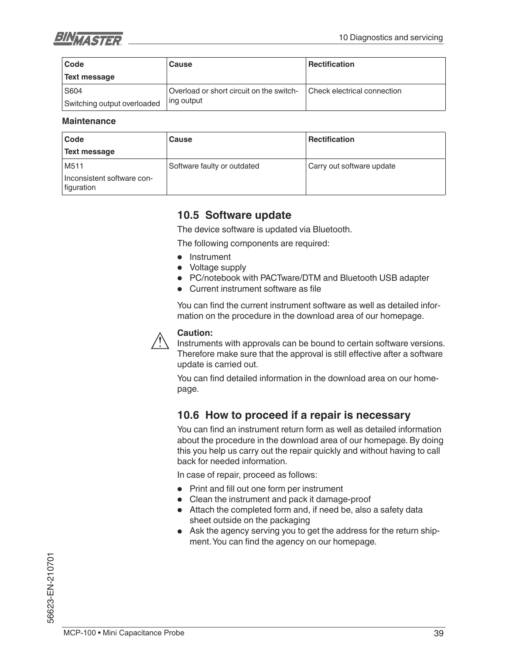

| Code                        | Cause                                    | <b>Rectification</b>        |
|-----------------------------|------------------------------------------|-----------------------------|
| <b>Text message</b>         |                                          |                             |
| S604                        | Overload or short circuit on the switch- | Check electrical connection |
| Switching output overloaded | ing output                               |                             |

#### **Maintenance**

| Code                                     | Cause                       | <b>Rectification</b>      |
|------------------------------------------|-----------------------------|---------------------------|
| Text message                             |                             |                           |
| M511                                     | Software faulty or outdated | Carry out software update |
| Inconsistent software con-<br>figuration |                             |                           |

### **10.5 Software update**

The device software is updated via Bluetooth.

The following components are required:

- Instrument
- Voltage supply

update is carried out.

- PC/notebook with PACTware/DTM and Bluetooth USB adapter
- Current instrument software as file

You can find the current instrument software as well as detailed information on the procedure in the download area of our homepage.



Instruments with approvals can be bound to certain software versions. Therefore make sure that the approval is still effective after a software

You can find detailed information in the download area on our homepage.

### **10.6 How to proceed if a repair is necessary**

You can find an instrument return form as well as detailed information about the procedure in the download area of our homepage. By doing this you help us carry out the repair quickly and without having to call back for needed information.

In case of repair, proceed as follows:

- $\bullet$  Print and fill out one form per instrument
- Clean the instrument and pack it damage-proof
- Attach the completed form and, if need be, also a safety data sheet outside on the packaging
- Ask the agency serving you to get the address for the return shipment. You can find the agency on our homepage.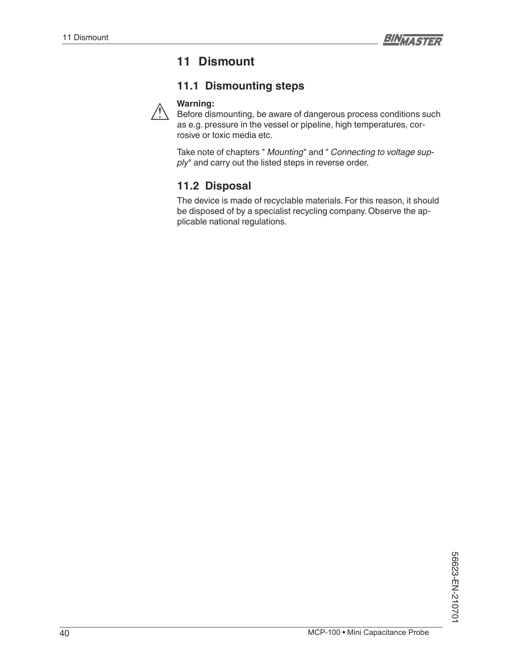# **11 Dismount**

### **11.1 Dismounting steps**



Before dismounting, be aware of dangerous process conditions such as e.g. pressure in the vessel or pipeline, high temperatures, corrosive or toxic media etc.

Take note of chapters " *Mounting*" and " *Connecting to voltage sup*ply" and carry out the listed steps in reverse order.

### **11.2 Disposal**

The device is made of recyclable materials. For this reason, it should be disposed of by a specialist recycling company. Observe the applicable national regulations.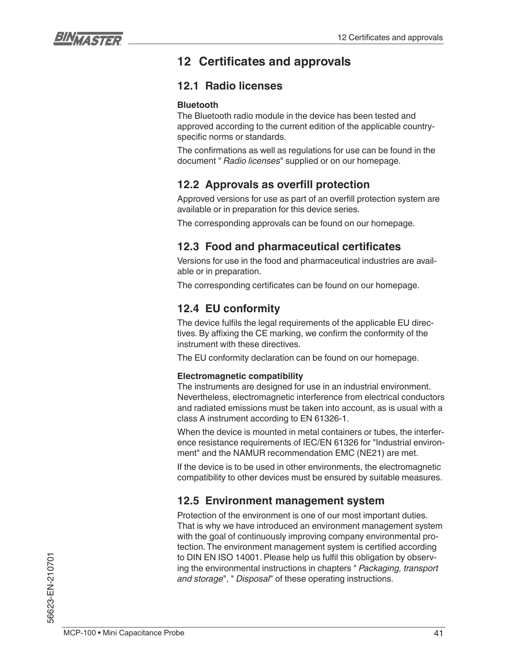

# **12 Certificates and approvals**

### **12.1 Radio licenses**

### **Bluetooth**

The Bluetooth radio module in the device has been tested and approved according to the current edition of the applicable countryspecific norms or standards.

The confirmations as well as regulations for use can be found in the document " *Radio licenses*" supplied or on our homepage.

### **12.2 Approvals as overfill protection**

Approved versions for use as part of an overfill protection system are available or in preparation for this device series.

The corresponding approvals can be found on our homepage.

### **12.3 Food and pharmaceutical certificates**

Versions for use in the food and pharmaceutical industries are available or in preparation.

The corresponding certificates can be found on our homepage.

### **12.4 EU conformity**

The device fulfils the legal requirements of the applicable EU directives. By affixing the CE marking, we confirm the conformity of the instrument with these directives.

The EU conformity declaration can be found on our homepage.

### **Electromagnetic compatibility**

The instruments are designed for use in an industrial environment. Nevertheless, electromagnetic interference from electrical conductors and radiated emissions must be taken into account, as is usual with a class A instrument according to EN 61326-1.

When the device is mounted in metal containers or tubes, the interference resistance requirements of IEC/EN 61326 for "Industrial environment" and the NAMUR recommendation EMC (NE21) are met.

If the device is to be used in other environments, the electromagnetic compatibility to other devices must be ensured by suitable measures.

### **12.5 Environment management system**

Protection of the environment is one of our most important duties. That is why we have introduced an environment management system with the goal of continuously improving company environmental protection. The environment management system is certified according to DIN EN ISO 14001. Please help us fulfil this obligation by observing the environmental instructions in chapters " *Packaging, transport and storage*", " *Disposal*" of these operating instructions.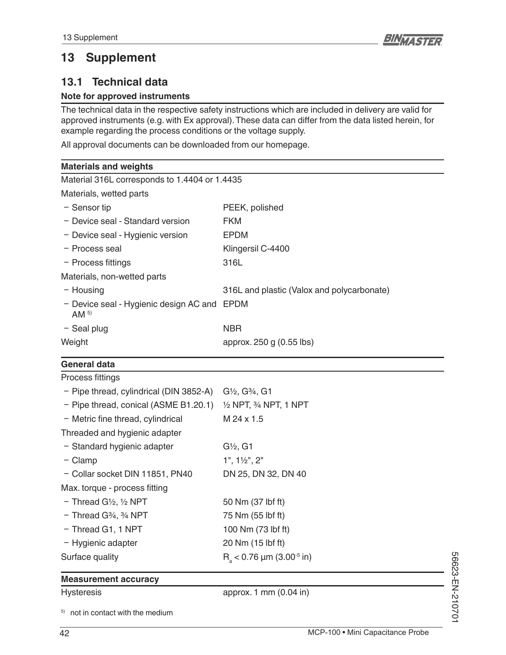# **13 Supplement**

### **13.1 Technical data**

### **Note for approved instruments**

The technical data in the respective safety instructions which are included in delivery are valid for approved instruments (e.g. with Ex approval). These data can differ from the data listed herein, for example regarding the process conditions or the voltage supply.

All approval documents can be downloaded from our homepage.

| Material 316L corresponds to 1.4404 or 1.4435 |
|-----------------------------------------------|
|                                               |
| PEEK, polished                                |
| <b>FKM</b>                                    |
| EPDM                                          |
| Klingersil C-4400                             |
| 316L                                          |
|                                               |
| 316L and plastic (Valox and polycarbonate)    |
| - Device seal - Hygienic design AC and EPDM   |
| <b>NBR</b>                                    |
| approx. 250 g (0.55 lbs)                      |
|                                               |

### **General data**

| Process fittings                               |                                             |  |
|------------------------------------------------|---------------------------------------------|--|
| - Pipe thread, cylindrical (DIN 3852-A)        | $G\frac{1}{2}$ , $G\frac{3}{4}$ , $G1$      |  |
| $-$ Pipe thread, conical (ASME B1.20.1)        | $\frac{1}{2}$ NPT, $\frac{3}{4}$ NPT, 1 NPT |  |
| - Metric fine thread, cylindrical              | M 24 x 1.5                                  |  |
| Threaded and hygienic adapter                  |                                             |  |
| - Standard hygienic adapter                    | $G\frac{1}{2}$ , G1                         |  |
| $-$ Clamp                                      | $1", 1\frac{1}{2", 2"$                      |  |
| - Collar socket DIN 11851, PN40                | DN 25, DN 32, DN 40                         |  |
| Max. torque - process fitting                  |                                             |  |
| $-$ Thread G $\frac{1}{2}$ , $\frac{1}{2}$ NPT | 50 Nm (37 lbf ft)                           |  |
| $-$ Thread G $\frac{3}{4}$ , $\frac{3}{4}$ NPT | 75 Nm (55 lbf ft)                           |  |
| - Thread G1, 1 NPT                             | 100 Nm (73 lbf ft)                          |  |
| - Hygienic adapter                             | 20 Nm (15 lbf ft)                           |  |
| Surface quality                                | $R_s$ < 0.76 µm (3.00 <sup>-5</sup> in)     |  |
|                                                |                                             |  |

### **Measurement accuracy**

Hysteresis approx. 1 mm (0.04 in)

5) not in contact with the medium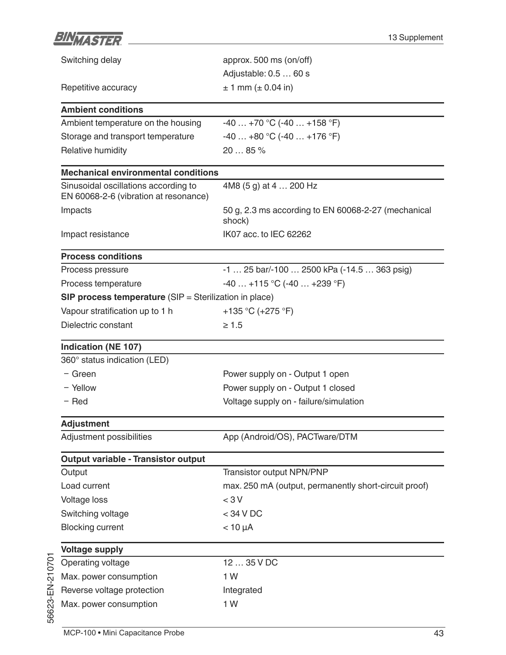| BIN <sub>MASTER</sub>                                                         | 13 Supplement                                                 |
|-------------------------------------------------------------------------------|---------------------------------------------------------------|
| Switching delay                                                               | approx. 500 ms (on/off)                                       |
|                                                                               | Adjustable: 0.5  60 s                                         |
| Repetitive accuracy                                                           | $± 1$ mm ( $± 0.04$ in)                                       |
| <b>Ambient conditions</b>                                                     |                                                               |
| Ambient temperature on the housing                                            | $-40+70$ °C (-40  +158 °F)                                    |
| Storage and transport temperature                                             | $-40+80$ °C $(-40+176$ °F)                                    |
| Relative humidity                                                             | 20  85 %                                                      |
| <b>Mechanical environmental conditions</b>                                    |                                                               |
| Sinusoidal oscillations according to<br>EN 60068-2-6 (vibration at resonance) | 4M8 (5 g) at 4  200 Hz                                        |
| Impacts                                                                       | 50 g, 2.3 ms according to EN 60068-2-27 (mechanical<br>shock) |
| Impact resistance                                                             | IK07 acc. to IEC 62262                                        |
| <b>Process conditions</b>                                                     |                                                               |
| Process pressure                                                              | $-1$ 25 bar/ $-100$ 2500 kPa ( $-14.5$ 363 psig)              |
| Process temperature                                                           | $-40+115$ °C $(-40+239$ °F)                                   |
| <b>SIP process temperature</b> (SIP = Sterilization in place)                 |                                                               |
| Vapour stratification up to 1 h                                               | +135 °C (+275 °F)                                             |
| Dielectric constant                                                           | $\geq 1.5$                                                    |
| <b>Indication (NE 107)</b>                                                    |                                                               |
| 360° status indication (LED)                                                  |                                                               |
| - Green                                                                       | Power supply on - Output 1 open                               |
| - Yellow                                                                      | Power supply on - Output 1 closed                             |
| - Red                                                                         | Voltage supply on - failure/simulation                        |
| <b>Adjustment</b>                                                             |                                                               |
| Adjustment possibilities                                                      | App (Android/OS), PACTware/DTM                                |
| <b>Output variable - Transistor output</b>                                    |                                                               |
| Output                                                                        | Transistor output NPN/PNP                                     |
| Load current                                                                  | max. 250 mA (output, permanently short-circuit proof)         |
| <b>Voltage loss</b>                                                           | $<$ 3 V                                                       |
| Switching voltage                                                             | $<$ 34 V DC                                                   |
| <b>Blocking current</b>                                                       | $< 10 \mu A$                                                  |
| <b>Voltage supply</b>                                                         |                                                               |
| Operating voltage                                                             | 12  35 V DC                                                   |
| Max. power consumption                                                        | 1W                                                            |
| Reverse voltage protection                                                    | Integrated                                                    |
| Max. power consumption                                                        | 1W                                                            |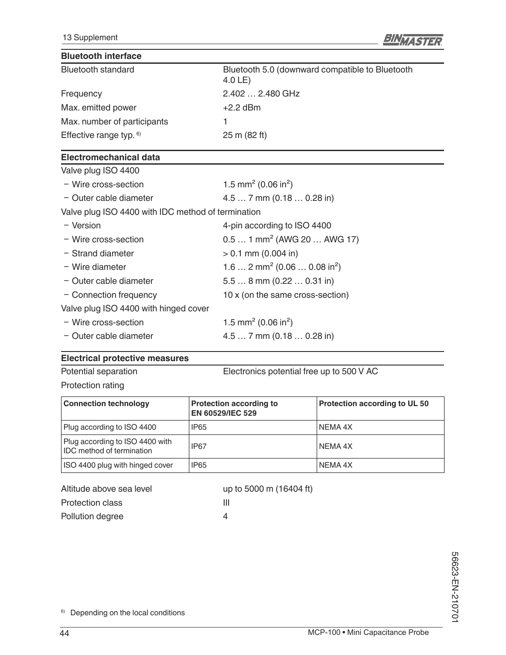

### **Bluetooth interface**

| <b>Bluetooth standard</b>   | Bluetooth 5.0 (downward compatible to Bluetooth<br>$4.0LE$ ) |
|-----------------------------|--------------------------------------------------------------|
| Frequency                   | 2.402  2.480 GHz                                             |
| Max. emitted power          | $+2.2$ dBm                                                   |
| Max. number of participants |                                                              |
| Effective range typ. $6$ )  | 25 m (82 ft)                                                 |

#### **Electromechanical data**

| Valve plug ISO 4400                                |                                                      |  |
|----------------------------------------------------|------------------------------------------------------|--|
| - Wire cross-section                               | 1.5 mm <sup>2</sup> (0.06 in <sup>2</sup> )          |  |
| - Outer cable diameter                             | $4.57$ mm $(0.180.28)$ in                            |  |
| Valve plug ISO 4400 with IDC method of termination |                                                      |  |
| - Version                                          | 4-pin according to ISO 4400                          |  |
| - Wire cross-section                               | $0.51$ mm <sup>2</sup> (AWG 20  AWG 17)              |  |
| - Strand diameter                                  | $> 0.1$ mm (0.004 in)                                |  |
| - Wire diameter                                    | 1.6  2 mm <sup>2</sup> (0.06  0.08 in <sup>2</sup> ) |  |
| - Outer cable diameter                             | $5.58$ mm $(0.220.31)$ in                            |  |
| - Connection frequency                             | 10 x (on the same cross-section)                     |  |
| Valve plug ISO 4400 with hinged cover              |                                                      |  |
| - Wire cross-section                               | 1.5 mm <sup>2</sup> (0.06 in <sup>2</sup> )          |  |
| - Outer cable diameter                             | $4.57$ mm $(0.180.28)$ in                            |  |
|                                                    |                                                      |  |

### **Electrical protective measures**

Potential separation Electronics potential free up to 500 V AC

Protection rating

| <b>Connection technology</b>                                        | <b>Protection according to</b><br>EN 60529/IEC 529 | Protection according to UL 50 |
|---------------------------------------------------------------------|----------------------------------------------------|-------------------------------|
| Plug according to ISO 4400                                          | IP65                                               | NEMA 4X                       |
| Plug according to ISO 4400 with<br><b>IDC</b> method of termination | <b>IP67</b>                                        | NEMA 4X                       |
| ISO 4400 plug with hinged cover                                     | <b>IP65</b>                                        | NEMA 4X                       |

| up to 5000 m (16404 ft) |
|-------------------------|
| ш                       |
| Δ                       |
|                         |

6) Depending on the local conditions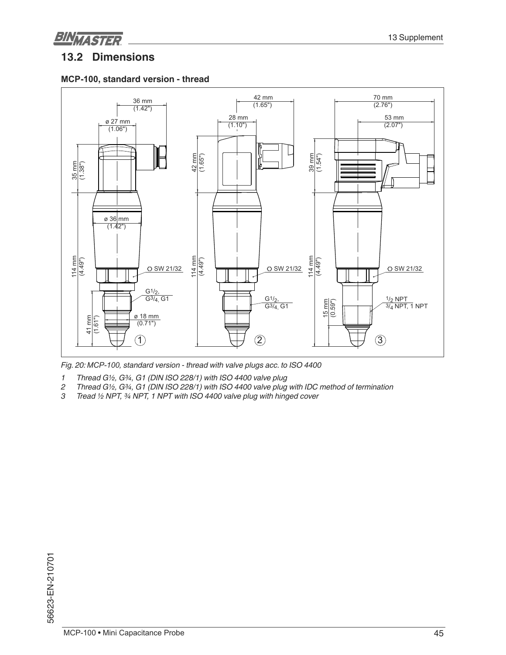

### **13.2 Dimensions**

#### **0&3, standard version - thread**



Fig. 20: MCP-100, standard version - thread with valve plugs acc. to ISO 4400

*1 Thread G½, G¾, G1 (DIN ISO 228/1) with ISO 4400 valve plug*

- *2 Thread G½, G¾, G1 (DIN ISO 228/1) with ISO 4400 valve plug with IDC method of termination*
- *3 Tread ½ NPT, ¾ NPT, 1 NPT with ISO 4400 valve plug with hinged cover*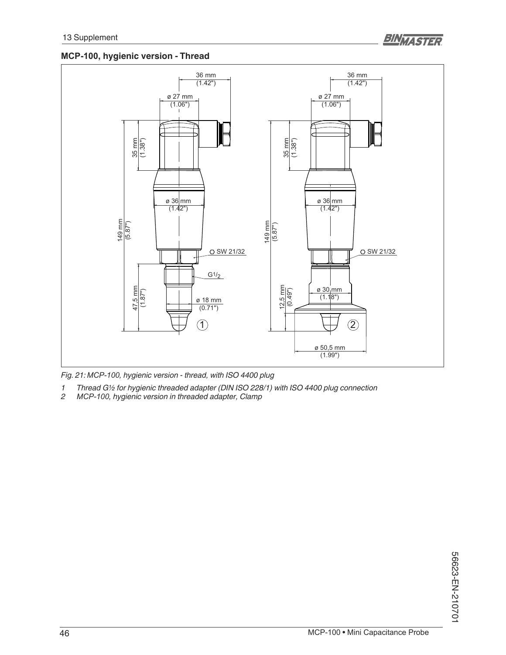### **0&3, hygienic version - Thread**



*Fig. 21: 0&3, hygienic version - thread, with ISO 4400 plug* 

- *1 Thread G½ for hygienic threaded adapter (DIN ISO 228/1) with ISO 4400 plug connection*
- *2 0&3, hygienic version in threaded adapter, Clamp*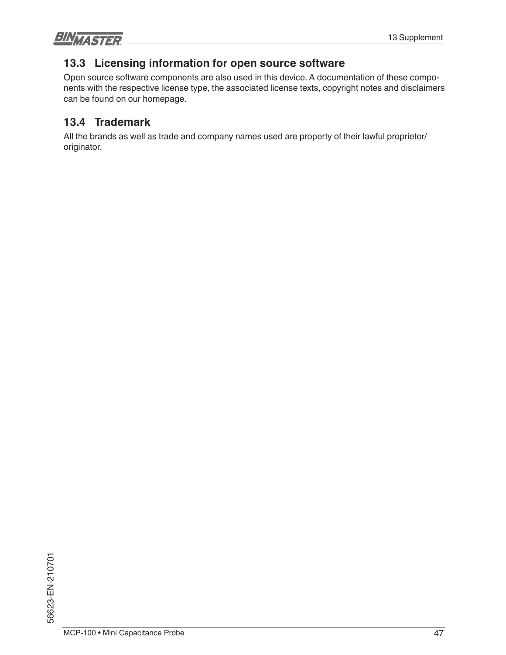**BINMASTER** 

### **13.3 Licensing information for open source software**

Open source software components are also used in this device. A documentation of these components with the respective license type, the associated license texts, copyright notes and disclaimers can be found on our homepage.

### **13.4 Trademark**

All the brands as well as trade and company names used are property of their lawful proprietor/ originator.